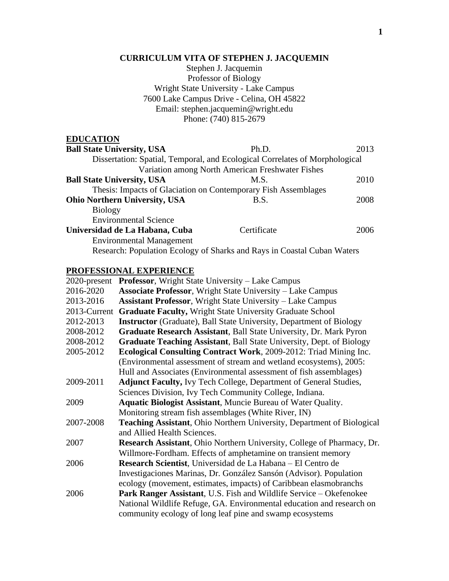# **CURRICULUM VITA OF STEPHEN J. JACQUEMIN**

Stephen J. Jacquemin Professor of Biology Wright State University - Lake Campus 7600 Lake Campus Drive - Celina, OH 45822 Email: stephen.jacquemin@wright.edu Phone: (740) 815-2679

# **EDUCATION**

| <b>Ball State University, USA</b>                                           | Ph.D.                                            | 2013 |
|-----------------------------------------------------------------------------|--------------------------------------------------|------|
| Dissertation: Spatial, Temporal, and Ecological Correlates of Morphological |                                                  |      |
|                                                                             | Variation among North American Freshwater Fishes |      |
| <b>Ball State University, USA</b>                                           | M.S.                                             | 2010 |
| Thesis: Impacts of Glaciation on Contemporary Fish Assemblages              |                                                  |      |
| <b>Ohio Northern University, USA</b>                                        | <b>B.S.</b>                                      | 2008 |
| <b>Biology</b>                                                              |                                                  |      |
| <b>Environmental Science</b>                                                |                                                  |      |
| Universidad de La Habana, Cuba                                              | Certificate                                      | 2006 |
| <b>Environmental Management</b>                                             |                                                  |      |
| Research: Population Ecology of Sharks and Rays in Coastal Cuban Waters     |                                                  |      |

#### **PROFESSIONAL EXPERIENCE**

| 2020-present | <b>Professor</b> , Wright State University – Lake Campus                      |
|--------------|-------------------------------------------------------------------------------|
| 2016-2020    | <b>Associate Professor</b> , Wright State University – Lake Campus            |
| 2013-2016    | <b>Assistant Professor, Wright State University – Lake Campus</b>             |
| 2013-Current | <b>Graduate Faculty, Wright State University Graduate School</b>              |
| 2012-2013    | <b>Instructor</b> (Graduate), Ball State University, Department of Biology    |
| 2008-2012    | Graduate Research Assistant, Ball State University, Dr. Mark Pyron            |
| 2008-2012    | Graduate Teaching Assistant, Ball State University, Dept. of Biology          |
| 2005-2012    | Ecological Consulting Contract Work, 2009-2012: Triad Mining Inc.             |
|              | (Environmental assessment of stream and wetland ecosystems), 2005:            |
|              | Hull and Associates (Environmental assessment of fish assemblages)            |
| 2009-2011    | <b>Adjunct Faculty, Ivy Tech College, Department of General Studies,</b>      |
|              | Sciences Division, Ivy Tech Community College, Indiana.                       |
| 2009         | <b>Aquatic Biologist Assistant, Muncie Bureau of Water Quality.</b>           |
|              | Monitoring stream fish assemblages (White River, IN)                          |
| 2007-2008    | Teaching Assistant, Ohio Northern University, Department of Biological        |
|              | and Allied Health Sciences.                                                   |
| 2007         | <b>Research Assistant, Ohio Northern University, College of Pharmacy, Dr.</b> |
|              | Willmore-Fordham. Effects of amphetamine on transient memory                  |
| 2006         | Research Scientist, Universidad de La Habana - El Centro de                   |
|              | Investigaciones Marinas, Dr. González Sansón (Advisor). Population            |
|              | ecology (movement, estimates, impacts) of Caribbean elasmobranchs             |
| 2006         | Park Ranger Assistant, U.S. Fish and Wildlife Service – Okefenokee            |
|              | National Wildlife Refuge, GA. Environmental education and research on         |
|              | community ecology of long leaf pine and swamp ecosystems                      |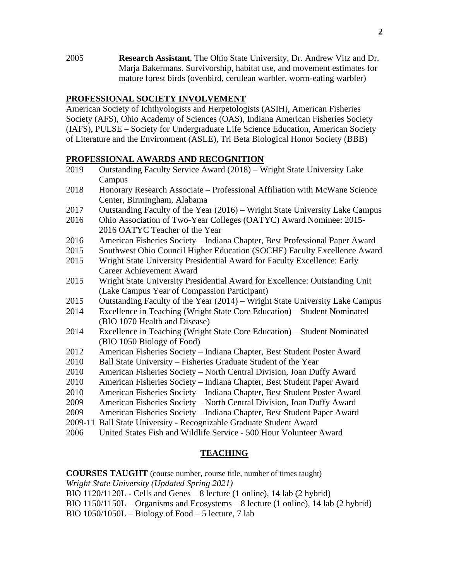2005 **Research Assistant**, The Ohio State University, Dr. Andrew Vitz and Dr. Marja Bakermans. Survivorship, habitat use, and movement estimates for mature forest birds (ovenbird, cerulean warbler, worm-eating warbler)

# **PROFESSIONAL SOCIETY INVOLVEMENT**

American Society of Ichthyologists and Herpetologists (ASIH), American Fisheries Society (AFS), Ohio Academy of Sciences (OAS), Indiana American Fisheries Society (IAFS), PULSE – Society for Undergraduate Life Science Education, American Society of Literature and the Environment (ASLE), Tri Beta Biological Honor Society (BBB)

# **PROFESSIONAL AWARDS AND RECOGNITION**

- 2019 Outstanding Faculty Service Award (2018) Wright State University Lake Campus
- 2018 Honorary Research Associate Professional Affiliation with McWane Science Center, Birmingham, Alabama
- 2017 Outstanding Faculty of the Year (2016) Wright State University Lake Campus
- 2016 Ohio Association of Two-Year Colleges (OATYC) Award Nominee: 2015- 2016 OATYC Teacher of the Year
- 2016 American Fisheries Society Indiana Chapter, Best Professional Paper Award
- 2015 Southwest Ohio Council Higher Education (SOCHE) Faculty Excellence Award
- 2015 Wright State University Presidential Award for Faculty Excellence: Early Career Achievement Award
- 2015 Wright State University Presidential Award for Excellence: Outstanding Unit (Lake Campus Year of Compassion Participant)
- 2015 Outstanding Faculty of the Year (2014) Wright State University Lake Campus
- 2014 Excellence in Teaching (Wright State Core Education) Student Nominated (BIO 1070 Health and Disease)
- 2014 Excellence in Teaching (Wright State Core Education) Student Nominated (BIO 1050 Biology of Food)
- 2012 American Fisheries Society Indiana Chapter, Best Student Poster Award
- 2010 Ball State University Fisheries Graduate Student of the Year
- 2010 American Fisheries Society North Central Division, Joan Duffy Award
- 2010 American Fisheries Society Indiana Chapter, Best Student Paper Award
- 2010 American Fisheries Society Indiana Chapter, Best Student Poster Award
- 2009 American Fisheries Society North Central Division, Joan Duffy Award
- 2009 American Fisheries Society Indiana Chapter, Best Student Paper Award
- 2009-11 Ball State University Recognizable Graduate Student Award
- 2006 United States Fish and Wildlife Service 500 Hour Volunteer Award

# **TEACHING**

**COURSES TAUGHT** (course number, course title, number of times taught)

*Wright State University (Updated Spring 2021)*

BIO 1120/1120L - Cells and Genes – 8 lecture (1 online), 14 lab (2 hybrid)

BIO 1150/1150L – Organisms and Ecosystems – 8 lecture (1 online), 14 lab (2 hybrid)

BIO  $1050/1050L - Biology$  of  $Food - 5$  lecture, 7 lab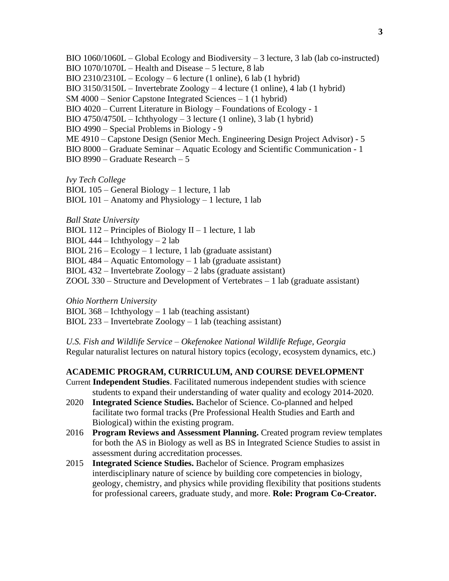BIO 1060/1060L – Global Ecology and Biodiversity – 3 lecture, 3 lab (lab co-instructed)

BIO 1070/1070L – Health and Disease – 5 lecture, 8 lab

BIO 2310/2310L – Ecology – 6 lecture (1 online), 6 lab (1 hybrid)

BIO 3150/3150L – Invertebrate Zoology – 4 lecture (1 online), 4 lab (1 hybrid)

SM 4000 – Senior Capstone Integrated Sciences – 1 (1 hybrid)

BIO 4020 – Current Literature in Biology – Foundations of Ecology - 1

BIO  $4750/4750L$  – Ichthyology – 3 lecture (1 online), 3 lab (1 hybrid)

BIO 4990 – Special Problems in Biology - 9

ME 4910 – Capstone Design (Senior Mech. Engineering Design Project Advisor) - 5

BIO 8000 – Graduate Seminar – Aquatic Ecology and Scientific Communication - 1

BIO 8990 – Graduate Research – 5

*Ivy Tech College*

BIOL 105 – General Biology – 1 lecture, 1 lab

BIOL 101 – Anatomy and Physiology – 1 lecture, 1 lab

*Ball State University*

BIOL 112 – Principles of Biology II – 1 lecture, 1 lab

BIOL  $444$  – Ichthyology – 2 lab

BIOL 216 – Ecology – 1 lecture, 1 lab (graduate assistant)

BIOL  $484$  – Aquatic Entomology – 1 lab (graduate assistant)

BIOL  $432$  – Invertebrate Zoology – 2 labs (graduate assistant)

ZOOL 330 – Structure and Development of Vertebrates – 1 lab (graduate assistant)

*Ohio Northern University*

BIOL  $368$  – Ichthyology – 1 lab (teaching assistant)

BIOL 233 – Invertebrate Zoology – 1 lab (teaching assistant)

*U.S. Fish and Wildlife Service – Okefenokee National Wildlife Refuge, Georgia* Regular naturalist lectures on natural history topics (ecology, ecosystem dynamics, etc.)

# **ACADEMIC PROGRAM, CURRICULUM, AND COURSE DEVELOPMENT**

Current **Independent Studies**. Facilitated numerous independent studies with science students to expand their understanding of water quality and ecology 2014-2020.

- 2020 **Integrated Science Studies.** Bachelor of Science. Co-planned and helped facilitate two formal tracks (Pre Professional Health Studies and Earth and Biological) within the existing program.
- 2016 **Program Reviews and Assessment Planning.** Created program review templates for both the AS in Biology as well as BS in Integrated Science Studies to assist in assessment during accreditation processes.
- 2015 **Integrated Science Studies.** Bachelor of Science. Program emphasizes interdisciplinary nature of science by building core competencies in biology, geology, chemistry, and physics while providing flexibility that positions students for professional careers, graduate study, and more. **Role: Program Co-Creator.**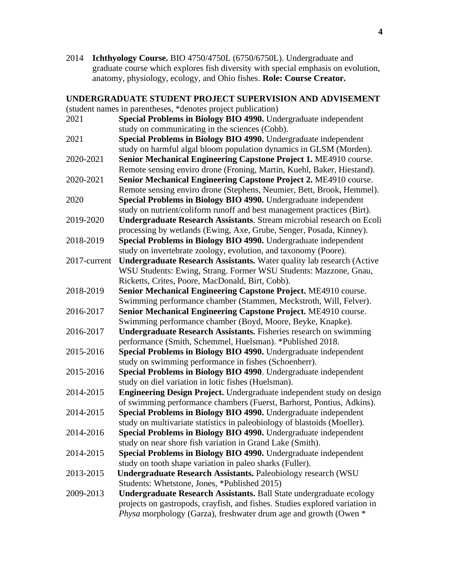2014 **Ichthyology Course.** BIO 4750/4750L (6750/6750L). Undergraduate and graduate course which explores fish diversity with special emphasis on evolution, anatomy, physiology, ecology, and Ohio fishes. **Role: Course Creator.** 

# **UNDERGRADUATE STUDENT PROJECT SUPERVISION AND ADVISEMENT**  (student names in parentheses, \*denotes project publication) 2021 **Special Problems in Biology BIO 4990.** Undergraduate independent study on communicating in the sciences (Cobb). 2021 **Special Problems in Biology BIO 4990.** Undergraduate independent study on harmful algal bloom population dynamics in GLSM (Morden). 2020-2021 **Senior Mechanical Engineering Capstone Project 1.** ME4910 course. Remote sensing enviro drone (Froning, Martin, Kuehl, Baker, Hiestand). 2020-2021 **Senior Mechanical Engineering Capstone Project 2.** ME4910 course. Remote sensing enviro drone (Stephens, Neumier, Bett, Brook, Hemmel). 2020 **Special Problems in Biology BIO 4990.** Undergraduate independent study on nutrient/coliform runoff and best management practices (Birt). 2019-2020 **Undergraduate Research Assistants**. Stream microbial research on Ecoli processing by wetlands (Ewing, Axe, Grube, Senger, Posada, Kinney). 2018-2019 **Special Problems in Biology BIO 4990.** Undergraduate independent study on invertebrate zoology, evolution, and taxonomy (Poore). 2017-current **Undergraduate Research Assistants.** Water quality lab research (Active WSU Students: Ewing, Strang. Former WSU Students: Mazzone, Gnau, Ricketts, Crites, Poore, MacDonald, Birt, Cobb). 2018-2019 **Senior Mechanical Engineering Capstone Project.** ME4910 course. Swimming performance chamber (Stammen, Meckstroth, Will, Felver). 2016-2017 **Senior Mechanical Engineering Capstone Project.** ME4910 course. Swimming performance chamber (Boyd, Moore, Beyke, Knapke). 2016-2017 **Undergraduate Research Assistants.** Fisheries research on swimming performance (Smith, Schemmel, Huelsman). \*Published 2018. 2015-2016 **Special Problems in Biology BIO 4990.** Undergraduate independent study on swimming performance in fishes (Schoenherr). 2015-2016 **Special Problems in Biology BIO 4990**. Undergraduate independent study on diel variation in lotic fishes (Huelsman). 2014-2015 **Engineering Design Project.** Undergraduate independent study on design of swimming performance chambers (Fuerst, Barhorst, Pontius, Adkins). 2014-2015 **Special Problems in Biology BIO 4990.** Undergraduate independent study on multivariate statistics in paleobiology of blastoids (Moeller). 2014-2016 **Special Problems in Biology BIO 4990.** Undergraduate independent study on near shore fish variation in Grand Lake (Smith). 2014-2015 **Special Problems in Biology BIO 4990.** Undergraduate independent study on tooth shape variation in paleo sharks (Fuller). 2013-2015 **Undergraduate Research Assistants.** Paleobiology research (WSU Students: Whetstone, Jones, \*Published 2015) 2009-2013 **Undergraduate Research Assistants.** Ball State undergraduate ecology projects on gastropods, crayfish, and fishes. Studies explored variation in *Physa* morphology (Garza), freshwater drum age and growth (Owen \*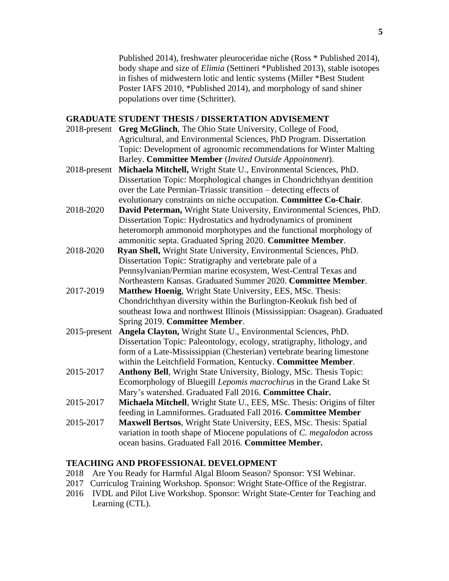Published 2014), freshwater pleuroceridae niche (Ross \* Published 2014), body shape and size of *Elimia* (Settineri \*Published 2013), stable isotopes in fishes of midwestern lotic and lentic systems (Miller \*Best Student Poster IAFS 2010, \*Published 2014), and morphology of sand shiner populations over time (Schritter).

#### **GRADUATE STUDENT THESIS / DISSERTATION ADVISEMENT**

- 2018-present **Greg McGlinch**, The Ohio State University, College of Food, Agricultural, and Environmental Sciences, PhD Program. Dissertation Topic: Development of agronomic recommendations for Winter Malting Barley. **Committee Member** (*Invited Outside Appointment*).
- 2018-present **Michaela Mitchell,** Wright State U., Environmental Sciences, PhD. Dissertation Topic: Morphological changes in Chondrichthyan dentition over the Late Permian-Triassic transition – detecting effects of evolutionary constraints on niche occupation. **Committee Co-Chair**.
- 2018-2020 **David Peterman,** Wright State University, Environmental Sciences, PhD. Dissertation Topic: Hydrostatics and hydrodynamics of prominent heteromorph ammonoid morphotypes and the functional morphology of ammonitic septa. Graduated Spring 2020. **Committee Member**.
- 2018-2020 **Ryan Shell,** Wright State University, Environmental Sciences, PhD. Dissertation Topic: Stratigraphy and vertebrate pale of a Pennsylvanian/Permian marine ecosystem, West-Central Texas and Northeastern Kansas. Graduated Summer 2020. **Committee Member**.
- 2017-2019 **Matthew Hoenig**, Wright State University, EES, MSc. Thesis: Chondrichthyan diversity within the Burlington-Keokuk fish bed of southeast Iowa and northwest Illinois (Mississippian: Osagean). Graduated Spring 2019. **Committee Member**.
- 2015-present **Angela Clayton,** Wright State U., Environmental Sciences, PhD. Dissertation Topic: Paleontology, ecology, stratigraphy, lithology, and form of a Late-Mississippian (Chesterian) vertebrate bearing limestone within the Leitchfield Formation, Kentucky. **Committee Member**.
- 2015-2017 **Anthony Bell**, Wright State University, Biology, MSc. Thesis Topic: Ecomorphology of Bluegill *Lepomis macrochirus* in the Grand Lake St Mary's watershed. Graduated Fall 2016. **Committee Chair.**
- 2015-2017 **Michaela Mitchell**, Wright State U., EES, MSc. Thesis: Origins of filter feeding in Lamniformes. Graduated Fall 2016. **Committee Member**
- 2015-2017 **Maxwell Bertsos**, Wright State University, EES, MSc. Thesis: Spatial variation in tooth shape of Miocene populations of *C. megalodon* across ocean basins. Graduated Fall 2016. **Committee Member.**

#### **TEACHING AND PROFESSIONAL DEVELOPMENT**

- 2018 Are You Ready for Harmful Algal Bloom Season? Sponsor: YSI Webinar.
- 2017 Curriculog Training Workshop. Sponsor: Wright State-Office of the Registrar.
- 2016 IVDL and Pilot Live Workshop. Sponsor: Wright State-Center for Teaching and Learning (CTL).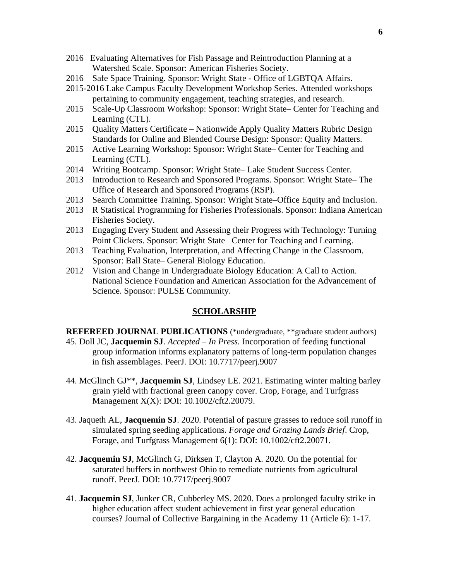- 2016 Evaluating Alternatives for Fish Passage and Reintroduction Planning at a Watershed Scale. Sponsor: American Fisheries Society.
- 2016 Safe Space Training. Sponsor: Wright State Office of LGBTQA Affairs.
- 2015-2016 Lake Campus Faculty Development Workshop Series. Attended workshops pertaining to community engagement, teaching strategies, and research.
- 2015 Scale-Up Classroom Workshop: Sponsor: Wright State– Center for Teaching and Learning (CTL).
- 2015 Quality Matters Certificate Nationwide Apply Quality Matters Rubric Design Standards for Online and Blended Course Design: Sponsor: Quality Matters.
- 2015 Active Learning Workshop: Sponsor: Wright State– Center for Teaching and Learning (CTL).
- 2014 Writing Bootcamp. Sponsor: Wright State– Lake Student Success Center.
- 2013 Introduction to Research and Sponsored Programs. Sponsor: Wright State– The Office of Research and Sponsored Programs (RSP).
- 2013 Search Committee Training. Sponsor: Wright State–Office Equity and Inclusion.
- 2013 R Statistical Programming for Fisheries Professionals. Sponsor: Indiana American Fisheries Society.
- 2013 Engaging Every Student and Assessing their Progress with Technology: Turning Point Clickers. Sponsor: Wright State– Center for Teaching and Learning.
- 2013 Teaching Evaluation, Interpretation, and Affecting Change in the Classroom. Sponsor: Ball State– General Biology Education.
- 2012 Vision and Change in Undergraduate Biology Education: A Call to Action. National Science Foundation and American Association for the Advancement of Science. Sponsor: PULSE Community.

#### **SCHOLARSHIP**

**REFEREED JOURNAL PUBLICATIONS** (\*undergraduate, \*\*graduate student authors) 45. Doll JC, **Jacquemin SJ**. *Accepted – In Press.* Incorporation of feeding functional group information informs explanatory patterns of long-term population changes in fish assemblages. PeerJ. DOI: 10.7717/peerj.9007

- 44. McGlinch GJ\*\*, **Jacquemin SJ**, Lindsey LE. 2021. Estimating winter malting barley grain yield with fractional green canopy cover. Crop, Forage, and Turfgrass Management X(X): DOI: 10.1002/cft2.20079.
- 43. Jaqueth AL, **Jacquemin SJ**. 2020. Potential of pasture grasses to reduce soil runoff in simulated spring seeding applications. *Forage and Grazing Lands Brief*. Crop, Forage, and Turfgrass Management 6(1): DOI: 10.1002/cft2.20071.
- 42. **Jacquemin SJ**, McGlinch G, Dirksen T, Clayton A. 2020*.* On the potential for saturated buffers in northwest Ohio to remediate nutrients from agricultural runoff. PeerJ. DOI: 10.7717/peerj.9007
- 41. **Jacquemin SJ**, Junker CR, Cubberley MS. 2020. Does a prolonged faculty strike in higher education affect student achievement in first year general education courses? Journal of Collective Bargaining in the Academy 11 (Article 6): 1-17.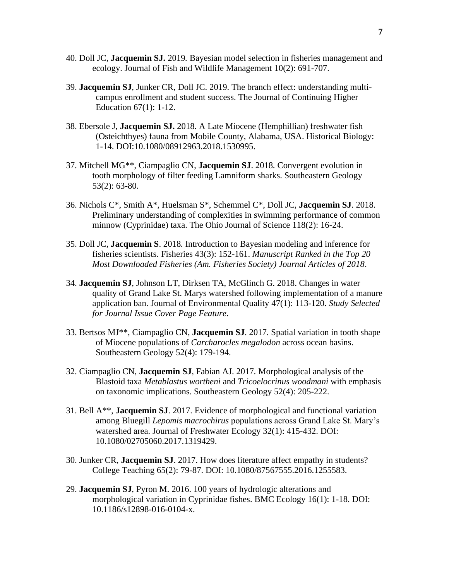- 40. Doll JC, **Jacquemin SJ.** 2019*.* Bayesian model selection in fisheries management and ecology. Journal of Fish and Wildlife Management 10(2): 691-707.
- 39. **Jacquemin SJ**, Junker CR, Doll JC. 2019. The branch effect: understanding multicampus enrollment and student success. The Journal of Continuing Higher Education 67(1): 1-12.
- 38. Ebersole J, **Jacquemin SJ.** 2018*.* A Late Miocene (Hemphillian) freshwater fish (Osteichthyes) fauna from Mobile County, Alabama, USA. Historical Biology: 1-14. DOI:10.1080/08912963.2018.1530995.
- 37. Mitchell MG\*\*, Ciampaglio CN, **Jacquemin SJ**. 2018*.* Convergent evolution in tooth morphology of filter feeding Lamniform sharks. Southeastern Geology 53(2): 63-80.
- 36. Nichols C\*, Smith A\*, Huelsman S\*, Schemmel C\*, Doll JC, **Jacquemin SJ**. 2018. Preliminary understanding of complexities in swimming performance of common minnow (Cyprinidae) taxa. The Ohio Journal of Science 118(2): 16-24.
- 35. Doll JC, **Jacquemin S**. 2018*.* Introduction to Bayesian modeling and inference for fisheries scientists. Fisheries 43(3): 152-161. *Manuscript Ranked in the Top 20 Most Downloaded Fisheries (Am. Fisheries Society) Journal Articles of 2018*.
- 34. **Jacquemin SJ**, Johnson LT, Dirksen TA, McGlinch G. 2018. Changes in water quality of Grand Lake St. Marys watershed following implementation of a manure application ban. Journal of Environmental Quality 47(1): 113-120. *Study Selected for Journal Issue Cover Page Feature*.
- 33. Bertsos MJ\*\*, Ciampaglio CN, **Jacquemin SJ**. 2017. Spatial variation in tooth shape of Miocene populations of *Carcharocles megalodon* across ocean basins. Southeastern Geology 52(4): 179-194.
- 32. Ciampaglio CN, **Jacquemin SJ**, Fabian AJ. 2017*.* Morphological analysis of the Blastoid taxa *Metablastus wortheni* and *Tricoelocrinus woodmani* with emphasis on taxonomic implications. Southeastern Geology 52(4): 205-222.
- 31. Bell A\*\*, **Jacquemin SJ**. 2017. Evidence of morphological and functional variation among Bluegill *Lepomis macrochirus* populations across Grand Lake St. Mary's watershed area. Journal of Freshwater Ecology 32(1): 415-432. DOI: 10.1080/02705060.2017.1319429.
- 30. Junker CR, **Jacquemin SJ**. 2017. How does literature affect empathy in students? College Teaching 65(2): 79-87. DOI: 10.1080/87567555.2016.1255583.
- 29. **Jacquemin SJ**, Pyron M. 2016. 100 years of hydrologic alterations and morphological variation in Cyprinidae fishes. BMC Ecology 16(1): 1-18. DOI: 10.1186/s12898-016-0104-x.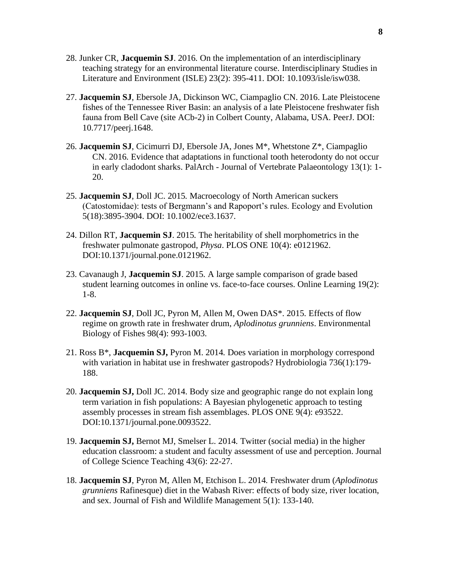- 28. Junker CR, **Jacquemin SJ**. 2016*.* On the implementation of an interdisciplinary teaching strategy for an environmental literature course. Interdisciplinary Studies in Literature and Environment (ISLE) 23(2): 395-411. DOI: 10.1093/isle/isw038.
- 27. **Jacquemin SJ**, Ebersole JA, Dickinson WC, Ciampaglio CN. 2016. Late Pleistocene fishes of the Tennessee River Basin: an analysis of a late Pleistocene freshwater fish fauna from Bell Cave (site ACb-2) in Colbert County, Alabama, USA. PeerJ. DOI: 10.7717/peerj.1648.
- 26. **Jacquemin SJ**, Cicimurri DJ, Ebersole JA, Jones M\*, Whetstone Z\*, Ciampaglio CN. 2016*.* Evidence that adaptations in functional tooth heterodonty do not occur in early cladodont sharks. PalArch - Journal of Vertebrate Palaeontology 13(1): 1- 20.
- 25. **Jacquemin SJ**, Doll JC. 2015*.* Macroecology of North American suckers (Catostomidae): tests of Bergmann's and Rapoport's rules. Ecology and Evolution 5(18):3895-3904. DOI: 10.1002/ece3.1637.
- 24. Dillon RT, **Jacquemin SJ**. 2015*.* The heritability of shell morphometrics in the freshwater pulmonate gastropod, *Physa*. PLOS ONE 10(4): e0121962. DOI:10.1371/journal.pone.0121962.
- 23. Cavanaugh J, **Jacquemin SJ**. 2015*.* A large sample comparison of grade based student learning outcomes in online vs. face-to-face courses. Online Learning 19(2): 1-8.
- 22. **Jacquemin SJ**, Doll JC, Pyron M, Allen M, Owen DAS\*. 2015*.* Effects of flow regime on growth rate in freshwater drum, *Aplodinotus grunniens*. Environmental Biology of Fishes 98(4): 993-1003.
- 21. Ross B\*, **Jacquemin SJ,** Pyron M. 2014*.* Does variation in morphology correspond with variation in habitat use in freshwater gastropods? Hydrobiologia 736(1):179- 188.
- 20. **Jacquemin SJ,** Doll JC. 2014. Body size and geographic range do not explain long term variation in fish populations: A Bayesian phylogenetic approach to testing assembly processes in stream fish assemblages. PLOS ONE 9(4): e93522. DOI:10.1371/journal.pone.0093522.
- 19. **Jacquemin SJ,** Bernot MJ, Smelser L. 2014*.* Twitter (social media) in the higher education classroom: a student and faculty assessment of use and perception. Journal of College Science Teaching 43(6): 22-27.
- 18. **Jacquemin SJ**, Pyron M, Allen M, Etchison L. 2014*.* Freshwater drum (*Aplodinotus grunniens* Rafinesque) diet in the Wabash River: effects of body size, river location, and sex. Journal of Fish and Wildlife Management 5(1): 133-140.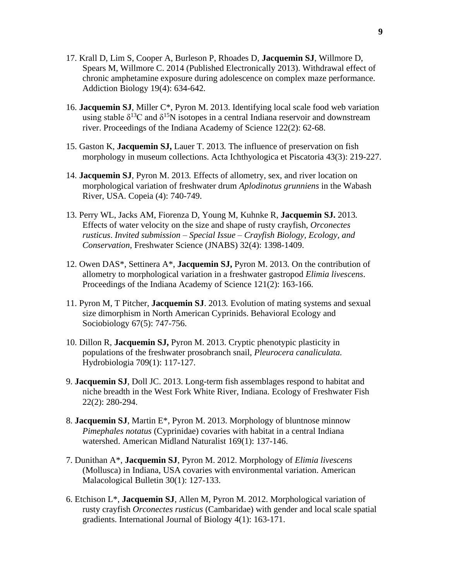- 17. Krall D, Lim S, Cooper A, Burleson P, Rhoades D, **Jacquemin SJ**, Willmore D, Spears M, Willmore C. 2014 (Published Electronically 2013). Withdrawal effect of chronic amphetamine exposure during adolescence on complex maze performance. Addiction Biology 19(4): 634-642*.*
- 16. **Jacquemin SJ**, Miller C\*, Pyron M. 2013. Identifying local scale food web variation using stable  $\delta^{13}C$  and  $\delta^{15}N$  isotopes in a central Indiana reservoir and downstream river. Proceedings of the Indiana Academy of Science 122(2): 62-68.
- 15. Gaston K, **Jacquemin SJ,** Lauer T. 2013*.* The influence of preservation on fish morphology in museum collections. Acta Ichthyologica et Piscatoria 43(3): 219-227.
- 14. **Jacquemin SJ**, Pyron M. 2013*.* Effects of allometry, sex, and river location on morphological variation of freshwater drum *Aplodinotus grunniens* in the Wabash River, USA. Copeia (4): 740-749.
- 13. Perry WL, Jacks AM, Fiorenza D, Young M, Kuhnke R, **Jacquemin SJ.** 2013*.*  Effects of water velocity on the size and shape of rusty crayfish, *Orconectes rusticus*. *Invited submission – Special Issue – Crayfish Biology, Ecology, and Conservation,* Freshwater Science (JNABS) 32(4): 1398-1409.
- 12. Owen DAS\*, Settinera A\*, **Jacquemin SJ,** Pyron M. 2013*.* On the contribution of allometry to morphological variation in a freshwater gastropod *Elimia livescens*. Proceedings of the Indiana Academy of Science 121(2): 163-166.
- 11. Pyron M, T Pitcher, **Jacquemin SJ**. 2013*.* Evolution of mating systems and sexual size dimorphism in North American Cyprinids. Behavioral Ecology and Sociobiology 67(5): 747-756.
- 10. Dillon R, **Jacquemin SJ,** Pyron M. 2013. Cryptic phenotypic plasticity in populations of the freshwater prosobranch snail, *Pleurocera canaliculata.*  Hydrobiologia 709(1): 117-127.
- 9. **Jacquemin SJ**, Doll JC. 2013. Long-term fish assemblages respond to habitat and niche breadth in the West Fork White River, Indiana. Ecology of Freshwater Fish 22(2): 280-294.
- 8. **Jacquemin SJ**, Martin E\*, Pyron M. 2013. Morphology of bluntnose minnow *Pimephales notatus* (Cyprinidae) covaries with habitat in a central Indiana watershed. American Midland Naturalist 169(1): 137-146.
- 7. Dunithan A\*, **Jacquemin SJ**, Pyron M. 2012. Morphology of *Elimia livescens*  (Mollusca) in Indiana, USA covaries with environmental variation. American Malacological Bulletin 30(1): 127-133.
- 6. Etchison L\*, **Jacquemin SJ**, Allen M, Pyron M. 2012. Morphological variation of rusty crayfish *Orconectes rusticus* (Cambaridae) with gender and local scale spatial gradients. International Journal of Biology 4(1): 163-171.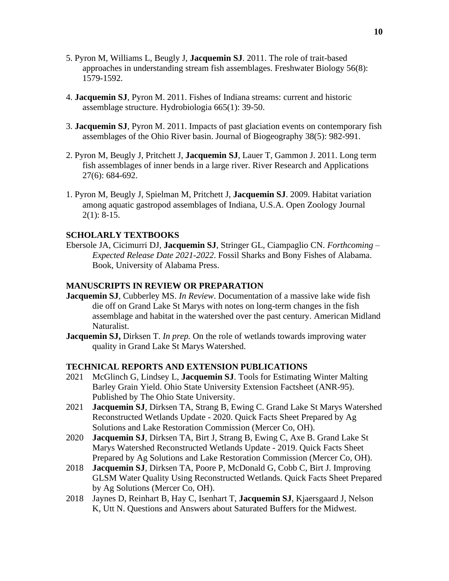- 5. Pyron M, Williams L, Beugly J, **Jacquemin SJ**. 2011. The role of trait-based approaches in understanding stream fish assemblages. Freshwater Biology 56(8): 1579-1592.
- 4. **Jacquemin SJ**, Pyron M. 2011. Fishes of Indiana streams: current and historic assemblage structure. Hydrobiologia 665(1): 39-50.
- 3. **Jacquemin SJ**, Pyron M. 2011. Impacts of past glaciation events on contemporary fish assemblages of the Ohio River basin. Journal of Biogeography 38(5): 982-991.
- 2. Pyron M, Beugly J, Pritchett J, **Jacquemin SJ**, Lauer T, Gammon J. 2011. Long term fish assemblages of inner bends in a large river. River Research and Applications 27(6): 684-692.
- 1. Pyron M, Beugly J, Spielman M, Pritchett J, **Jacquemin SJ**. 2009. Habitat variation among aquatic gastropod assemblages of Indiana, U.S.A. Open Zoology Journal  $2(1): 8-15.$

# **SCHOLARLY TEXTBOOKS**

Ebersole JA, Cicimurri DJ, **Jacquemin SJ**, Stringer GL, Ciampaglio CN. *Forthcoming – Expected Release Date 2021-2022*. Fossil Sharks and Bony Fishes of Alabama. Book, University of Alabama Press.

#### **MANUSCRIPTS IN REVIEW OR PREPARATION**

- **Jacquemin SJ**, Cubberley MS. *In Review*. Documentation of a massive lake wide fish die off on Grand Lake St Marys with notes on long-term changes in the fish assemblage and habitat in the watershed over the past century. American Midland Naturalist.
- **Jacquemin SJ,** Dirksen T. *In prep.* On the role of wetlands towards improving water quality in Grand Lake St Marys Watershed.

#### **TECHNICAL REPORTS AND EXTENSION PUBLICATIONS**

- 2021 McGlinch G, Lindsey L, **Jacquemin SJ**. Tools for Estimating Winter Malting Barley Grain Yield. Ohio State University Extension Factsheet (ANR-95). Published by The Ohio State University.
- 2021 **Jacquemin SJ**, Dirksen TA, Strang B, Ewing C. Grand Lake St Marys Watershed Reconstructed Wetlands Update - 2020. Quick Facts Sheet Prepared by Ag Solutions and Lake Restoration Commission (Mercer Co, OH).
- 2020 **Jacquemin SJ**, Dirksen TA, Birt J, Strang B, Ewing C, Axe B. Grand Lake St Marys Watershed Reconstructed Wetlands Update - 2019. Quick Facts Sheet Prepared by Ag Solutions and Lake Restoration Commission (Mercer Co, OH).
- 2018 **Jacquemin SJ**, Dirksen TA, Poore P, McDonald G, Cobb C, Birt J. Improving GLSM Water Quality Using Reconstructed Wetlands. Quick Facts Sheet Prepared by Ag Solutions (Mercer Co, OH).
- 2018 Jaynes D, Reinhart B, Hay C, Isenhart T, **Jacquemin SJ**, Kjaersgaard J, Nelson K, Utt N. Questions and Answers about Saturated Buffers for the Midwest.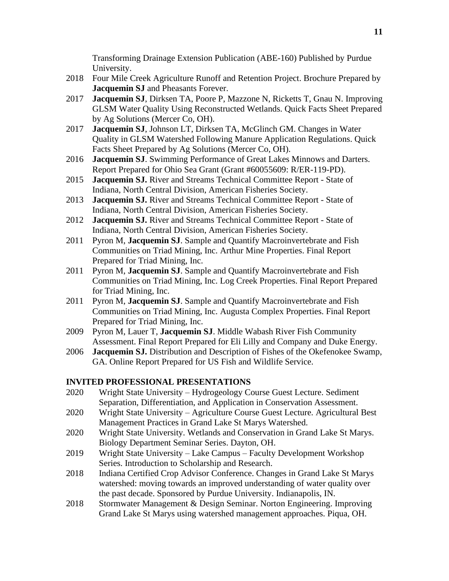Transforming Drainage Extension Publication (ABE-160) Published by Purdue University.

- 2018 Four Mile Creek Agriculture Runoff and Retention Project. Brochure Prepared by **Jacquemin SJ** and Pheasants Forever.
- 2017 **Jacquemin SJ**, Dirksen TA, Poore P, Mazzone N, Ricketts T, Gnau N. Improving GLSM Water Quality Using Reconstructed Wetlands. Quick Facts Sheet Prepared by Ag Solutions (Mercer Co, OH).
- 2017 **Jacquemin SJ**, Johnson LT, Dirksen TA, McGlinch GM. Changes in Water Quality in GLSM Watershed Following Manure Application Regulations. Quick Facts Sheet Prepared by Ag Solutions (Mercer Co, OH).
- 2016 **Jacquemin SJ**. Swimming Performance of Great Lakes Minnows and Darters. Report Prepared for Ohio Sea Grant (Grant #60055609: R/ER-119-PD).
- 2015 **Jacquemin SJ.** River and Streams Technical Committee Report State of Indiana, North Central Division, American Fisheries Society.
- 2013 **Jacquemin SJ.** River and Streams Technical Committee Report State of Indiana, North Central Division, American Fisheries Society.
- 2012 **Jacquemin SJ.** River and Streams Technical Committee Report State of Indiana, North Central Division, American Fisheries Society.
- 2011 Pyron M, **Jacquemin SJ**. Sample and Quantify Macroinvertebrate and Fish Communities on Triad Mining, Inc. Arthur Mine Properties. Final Report Prepared for Triad Mining, Inc.
- 2011 Pyron M, **Jacquemin SJ**. Sample and Quantify Macroinvertebrate and Fish Communities on Triad Mining, Inc. Log Creek Properties. Final Report Prepared for Triad Mining, Inc.
- 2011 Pyron M, **Jacquemin SJ**. Sample and Quantify Macroinvertebrate and Fish Communities on Triad Mining, Inc. Augusta Complex Properties. Final Report Prepared for Triad Mining, Inc.
- 2009 Pyron M, Lauer T, **Jacquemin SJ**. Middle Wabash River Fish Community Assessment. Final Report Prepared for Eli Lilly and Company and Duke Energy.
- 2006 **Jacquemin SJ.** Distribution and Description of Fishes of the Okefenokee Swamp, GA. Online Report Prepared for US Fish and Wildlife Service.

# **INVITED PROFESSIONAL PRESENTATIONS**

- 2020 Wright State University Hydrogeology Course Guest Lecture. Sediment Separation, Differentiation, and Application in Conservation Assessment.
- 2020 Wright State University Agriculture Course Guest Lecture. Agricultural Best Management Practices in Grand Lake St Marys Watershed.
- 2020 Wright State University. Wetlands and Conservation in Grand Lake St Marys. Biology Department Seminar Series. Dayton, OH.
- 2019 Wright State University Lake Campus Faculty Development Workshop Series. Introduction to Scholarship and Research.
- 2018 Indiana Certified Crop Advisor Conference. Changes in Grand Lake St Marys watershed: moving towards an improved understanding of water quality over the past decade. Sponsored by Purdue University. Indianapolis, IN.
- 2018 Stormwater Management & Design Seminar. Norton Engineering. Improving Grand Lake St Marys using watershed management approaches. Piqua, OH.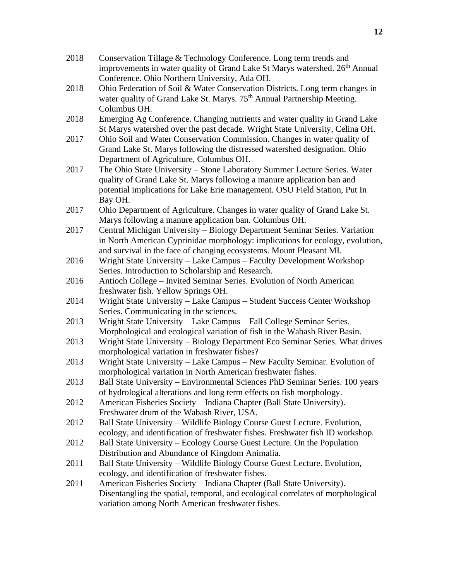- 2018 Conservation Tillage & Technology Conference. Long term trends and improvements in water quality of Grand Lake St Marys watershed. 26<sup>th</sup> Annual Conference. Ohio Northern University, Ada OH.
- 2018 Ohio Federation of Soil & Water Conservation Districts. Long term changes in water quality of Grand Lake St. Marys. 75<sup>th</sup> Annual Partnership Meeting. Columbus OH.
- 2018 Emerging Ag Conference. Changing nutrients and water quality in Grand Lake St Marys watershed over the past decade. Wright State University, Celina OH.
- 2017 Ohio Soil and Water Conservation Commission. Changes in water quality of Grand Lake St. Marys following the distressed watershed designation. Ohio Department of Agriculture, Columbus OH.
- 2017 The Ohio State University Stone Laboratory Summer Lecture Series. Water quality of Grand Lake St. Marys following a manure application ban and potential implications for Lake Erie management. OSU Field Station, Put In Bay OH.
- 2017 Ohio Department of Agriculture. Changes in water quality of Grand Lake St. Marys following a manure application ban. Columbus OH.
- 2017 Central Michigan University Biology Department Seminar Series. Variation in North American Cyprinidae morphology: implications for ecology, evolution, and survival in the face of changing ecosystems. Mount Pleasant MI.
- 2016 Wright State University Lake Campus Faculty Development Workshop Series. Introduction to Scholarship and Research.
- 2016 Antioch College Invited Seminar Series. Evolution of North American freshwater fish. Yellow Springs OH.
- 2014 Wright State University Lake Campus Student Success Center Workshop Series. Communicating in the sciences.
- 2013 Wright State University Lake Campus Fall College Seminar Series. Morphological and ecological variation of fish in the Wabash River Basin.
- 2013 Wright State University Biology Department Eco Seminar Series. What drives morphological variation in freshwater fishes?
- 2013 Wright State University Lake Campus New Faculty Seminar. Evolution of morphological variation in North American freshwater fishes.
- 2013 Ball State University Environmental Sciences PhD Seminar Series. 100 years of hydrological alterations and long term effects on fish morphology.
- 2012 American Fisheries Society Indiana Chapter (Ball State University). Freshwater drum of the Wabash River, USA.
- 2012 Ball State University Wildlife Biology Course Guest Lecture. Evolution, ecology, and identification of freshwater fishes. Freshwater fish ID workshop.
- 2012 Ball State University Ecology Course Guest Lecture. On the Population Distribution and Abundance of Kingdom Animalia.
- 2011 Ball State University Wildlife Biology Course Guest Lecture. Evolution, ecology, and identification of freshwater fishes.
- 2011 American Fisheries Society Indiana Chapter (Ball State University). Disentangling the spatial, temporal, and ecological correlates of morphological variation among North American freshwater fishes.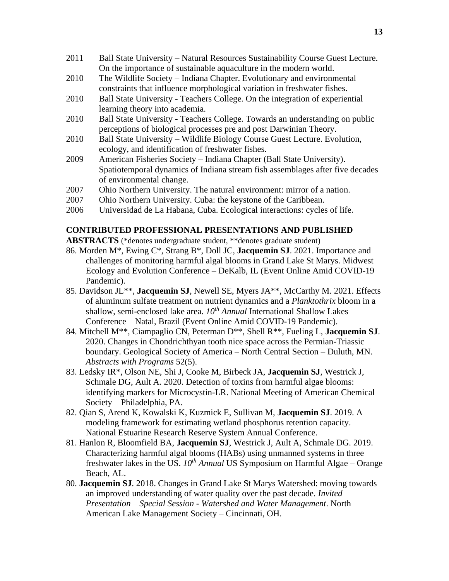- 2011 Ball State University Natural Resources Sustainability Course Guest Lecture. On the importance of sustainable aquaculture in the modern world.
- 2010 The Wildlife Society Indiana Chapter. Evolutionary and environmental constraints that influence morphological variation in freshwater fishes.
- 2010 Ball State University Teachers College. On the integration of experiential learning theory into academia.
- 2010 Ball State University Teachers College. Towards an understanding on public perceptions of biological processes pre and post Darwinian Theory.
- 2010 Ball State University Wildlife Biology Course Guest Lecture. Evolution, ecology, and identification of freshwater fishes.
- 2009 American Fisheries Society Indiana Chapter (Ball State University). Spatiotemporal dynamics of Indiana stream fish assemblages after five decades of environmental change.
- 2007 Ohio Northern University. The natural environment: mirror of a nation.
- 2007 Ohio Northern University. Cuba: the keystone of the Caribbean.
- 2006 Universidad de La Habana, Cuba. Ecological interactions: cycles of life.

# **CONTRIBUTED PROFESSIONAL PRESENTATIONS AND PUBLISHED**

**ABSTRACTS** (\*denotes undergraduate student, \*\*denotes graduate student)

- 86. Morden M\*, Ewing C\*, Strang B\*, Doll JC, **Jacquemin SJ**. 2021. Importance and challenges of monitoring harmful algal blooms in Grand Lake St Marys. Midwest Ecology and Evolution Conference – DeKalb, IL (Event Online Amid COVID-19 Pandemic).
- 85. Davidson JL\*\*, **Jacquemin SJ**, Newell SE, Myers JA\*\*, McCarthy M. 2021. Effects of aluminum sulfate treatment on nutrient dynamics and a *Planktothrix* bloom in a shallow, semi-enclosed lake area. *10th Annual* International Shallow Lakes Conference – Natal, Brazil (Event Online Amid COVID-19 Pandemic).
- 84. Mitchell M\*\*, Ciampaglio CN, Peterman D\*\*, Shell R\*\*, Fueling L, **Jacquemin SJ**. 2020. Changes in Chondrichthyan tooth nice space across the Permian-Triassic boundary. Geological Society of America – North Central Section – Duluth, MN. *Abstracts with Programs* 52(5).
- 83. Ledsky IR\*, Olson NE, Shi J, Cooke M, Birbeck JA, **Jacquemin SJ**, Westrick J, Schmale DG, Ault A. 2020. Detection of toxins from harmful algae blooms: identifying markers for Microcystin-LR. National Meeting of American Chemical Society – Philadelphia, PA.
- 82. Qian S, Arend K, Kowalski K, Kuzmick E, Sullivan M, **Jacquemin SJ**. 2019. A modeling framework for estimating wetland phosphorus retention capacity. National Estuarine Research Reserve System Annual Conference.
- 81. Hanlon R, Bloomfield BA, **Jacquemin SJ**, Westrick J, Ault A, Schmale DG. 2019. Characterizing harmful algal blooms (HABs) using unmanned systems in three freshwater lakes in the US. *10th Annual* US Symposium on Harmful Algae – Orange Beach, AL.
- 80. **Jacquemin SJ**. 2018. Changes in Grand Lake St Marys Watershed: moving towards an improved understanding of water quality over the past decade. *Invited Presentation – Special Session - Watershed and Water Management*. North American Lake Management Society – Cincinnati, OH.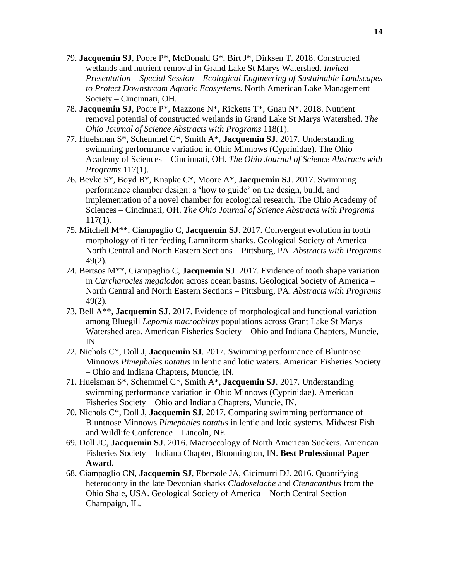- 79. **Jacquemin SJ**, Poore P\*, McDonald G\*, Birt J\*, Dirksen T. 2018. Constructed wetlands and nutrient removal in Grand Lake St Marys Watershed. *Invited Presentation – Special Session – Ecological Engineering of Sustainable Landscapes to Protect Downstream Aquatic Ecosystems*. North American Lake Management Society – Cincinnati, OH.
- 78. **Jacquemin SJ**, Poore P\*, Mazzone N\*, Ricketts T\*, Gnau N\*. 2018. Nutrient removal potential of constructed wetlands in Grand Lake St Marys Watershed. *The Ohio Journal of Science Abstracts with Programs* 118(1).
- 77. Huelsman S\*, Schemmel C\*, Smith A\*, **Jacquemin SJ**. 2017. Understanding swimming performance variation in Ohio Minnows (Cyprinidae). The Ohio Academy of Sciences – Cincinnati, OH. *The Ohio Journal of Science Abstracts with Programs* 117(1).
- 76. Beyke S\*, Boyd B\*, Knapke C\*, Moore A\*, **Jacquemin SJ**. 2017. Swimming performance chamber design: a 'how to guide' on the design, build, and implementation of a novel chamber for ecological research. The Ohio Academy of Sciences – Cincinnati, OH. *The Ohio Journal of Science Abstracts with Programs*   $117(1)$ .
- 75. Mitchell M\*\*, Ciampaglio C, **Jacquemin SJ**. 2017. Convergent evolution in tooth morphology of filter feeding Lamniform sharks. Geological Society of America – North Central and North Eastern Sections – Pittsburg, PA. *Abstracts with Programs*  49(2).
- 74. Bertsos M\*\*, Ciampaglio C, **Jacquemin SJ**. 2017. Evidence of tooth shape variation in *Carcharocles megalodon* across ocean basins. Geological Society of America – North Central and North Eastern Sections – Pittsburg, PA. *Abstracts with Programs*  49(2).
- 73. Bell A\*\*, **Jacquemin SJ**. 2017. Evidence of morphological and functional variation among Bluegill *Lepomis macrochirus* populations across Grant Lake St Marys Watershed area. American Fisheries Society – Ohio and Indiana Chapters, Muncie, IN.
- 72. Nichols C\*, Doll J, **Jacquemin SJ**. 2017. Swimming performance of Bluntnose Minnows *Pimephales notatus* in lentic and lotic waters. American Fisheries Society – Ohio and Indiana Chapters, Muncie, IN.
- 71. Huelsman S\*, Schemmel C\*, Smith A\*, **Jacquemin SJ**. 2017. Understanding swimming performance variation in Ohio Minnows (Cyprinidae). American Fisheries Society – Ohio and Indiana Chapters, Muncie, IN.
- 70. Nichols C\*, Doll J, **Jacquemin SJ**. 2017. Comparing swimming performance of Bluntnose Minnows *Pimephales notatus* in lentic and lotic systems. Midwest Fish and Wildlife Conference – Lincoln, NE.
- 69. Doll JC, **Jacquemin SJ**. 2016. Macroecology of North American Suckers. American Fisheries Society – Indiana Chapter, Bloomington, IN. **Best Professional Paper Award.**
- 68. Ciampaglio CN, **Jacquemin SJ**, Ebersole JA, Cicimurri DJ. 2016. Quantifying heterodonty in the late Devonian sharks *Cladoselache* and *Ctenacanthus* from the Ohio Shale, USA. Geological Society of America – North Central Section – Champaign, IL.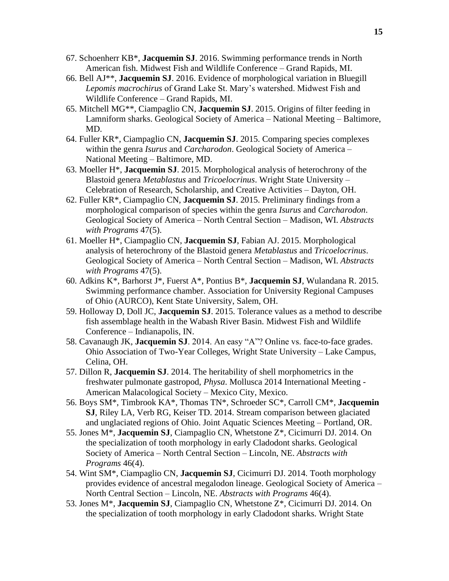- 67. Schoenherr KB\*, **Jacquemin SJ**. 2016. Swimming performance trends in North American fish. Midwest Fish and Wildlife Conference – Grand Rapids, MI.
- 66. Bell AJ\*\*, **Jacquemin SJ**. 2016. Evidence of morphological variation in Bluegill *Lepomis macrochirus* of Grand Lake St. Mary's watershed. Midwest Fish and Wildlife Conference – Grand Rapids, MI.
- 65. Mitchell MG\*\*, Ciampaglio CN, **Jacquemin SJ**. 2015. Origins of filter feeding in Lamniform sharks. Geological Society of America – National Meeting – Baltimore, MD.
- 64. Fuller KR\*, Ciampaglio CN, **Jacquemin SJ**. 2015. Comparing species complexes within the genra *Isurus* and *Carcharodon*. Geological Society of America – National Meeting – Baltimore, MD.
- 63. Moeller H\*, **Jacquemin SJ**. 2015. Morphological analysis of heterochrony of the Blastoid genera *Metablastus* and *Tricoelocrinus*. Wright State University – Celebration of Research, Scholarship, and Creative Activities – Dayton, OH.
- 62. Fuller KR\*, Ciampaglio CN, **Jacquemin SJ**. 2015. Preliminary findings from a morphological comparison of species within the genra *Isurus* and *Carcharodon*. Geological Society of America – North Central Section – Madison, WI. *Abstracts with Programs* 47(5).
- 61. Moeller H\*, Ciampaglio CN, **Jacquemin SJ**, Fabian AJ. 2015. Morphological analysis of heterochrony of the Blastoid genera *Metablastus* and *Tricoelocrinus*. Geological Society of America – North Central Section – Madison, WI. *Abstracts with Programs* 47(5).
- 60. Adkins K\*, Barhorst J\*, Fuerst A\*, Pontius B\*, **Jacquemin SJ**, Wulandana R. 2015. Swimming performance chamber. Association for University Regional Campuses of Ohio (AURCO), Kent State University, Salem, OH.
- 59. Holloway D, Doll JC, **Jacquemin SJ**. 2015. Tolerance values as a method to describe fish assemblage health in the Wabash River Basin. Midwest Fish and Wildlife Conference – Indianapolis, IN.
- 58. Cavanaugh JK, **Jacquemin SJ**. 2014. An easy "A"? Online vs. face-to-face grades. Ohio Association of Two-Year Colleges, Wright State University – Lake Campus, Celina, OH.
- 57. Dillon R, **Jacquemin SJ**. 2014. The heritability of shell morphometrics in the freshwater pulmonate gastropod, *Physa*. Mollusca 2014 International Meeting - American Malacological Society – Mexico City, Mexico.
- 56. Boys SM\*, Timbrook KA\*, Thomas TN\*, Schroeder SC\*, Carroll CM\*, **Jacquemin SJ**, Riley LA, Verb RG, Keiser TD. 2014. Stream comparison between glaciated and unglaciated regions of Ohio. Joint Aquatic Sciences Meeting – Portland, OR.
- 55. Jones M\*, **Jacquemin SJ**, Ciampaglio CN, Whetstone Z\*, Cicimurri DJ. 2014. On the specialization of tooth morphology in early Cladodont sharks. Geological Society of America – North Central Section – Lincoln, NE. *Abstracts with Programs* 46(4).
- 54. Wint SM\*, Ciampaglio CN, **Jacquemin SJ**, Cicimurri DJ. 2014. Tooth morphology provides evidence of ancestral megalodon lineage. Geological Society of America – North Central Section – Lincoln, NE. *Abstracts with Programs* 46(4).
- 53. Jones M\*, **Jacquemin SJ**, Ciampaglio CN, Whetstone Z\*, Cicimurri DJ. 2014. On the specialization of tooth morphology in early Cladodont sharks. Wright State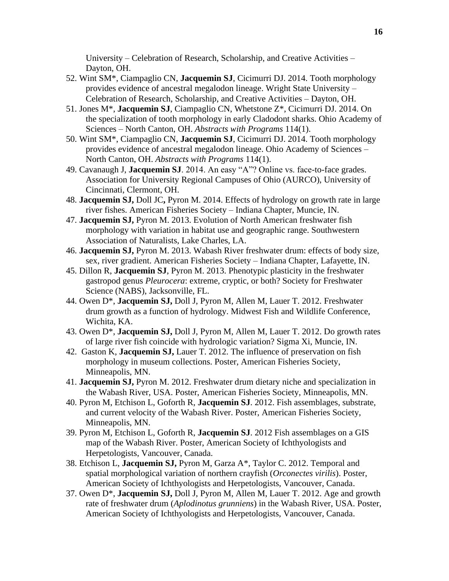University – Celebration of Research, Scholarship, and Creative Activities – Dayton, OH.

- 52. Wint SM\*, Ciampaglio CN, **Jacquemin SJ**, Cicimurri DJ. 2014. Tooth morphology provides evidence of ancestral megalodon lineage. Wright State University – Celebration of Research, Scholarship, and Creative Activities – Dayton, OH.
- 51. Jones M\*, **Jacquemin SJ**, Ciampaglio CN, Whetstone Z\*, Cicimurri DJ. 2014. On the specialization of tooth morphology in early Cladodont sharks. Ohio Academy of Sciences – North Canton, OH. *Abstracts with Programs* 114(1).
- 50. Wint SM\*, Ciampaglio CN, **Jacquemin SJ**, Cicimurri DJ. 2014. Tooth morphology provides evidence of ancestral megalodon lineage. Ohio Academy of Sciences – North Canton, OH. *Abstracts with Programs* 114(1).
- 49. Cavanaugh J, **Jacquemin SJ**. 2014. An easy "A"? Online vs. face-to-face grades. Association for University Regional Campuses of Ohio (AURCO), University of Cincinnati, Clermont, OH.
- 48. **Jacquemin SJ,** Doll JC**,** Pyron M. 2014. Effects of hydrology on growth rate in large river fishes. American Fisheries Society – Indiana Chapter, Muncie, IN.
- 47. **Jacquemin SJ,** Pyron M. 2013. Evolution of North American freshwater fish morphology with variation in habitat use and geographic range. Southwestern Association of Naturalists, Lake Charles, LA.
- 46. **Jacquemin SJ,** Pyron M. 2013. Wabash River freshwater drum: effects of body size, sex, river gradient. American Fisheries Society – Indiana Chapter, Lafayette, IN.
- 45. Dillon R, **Jacquemin SJ**, Pyron M. 2013. Phenotypic plasticity in the freshwater gastropod genus *Pleurocera*: extreme, cryptic, or both? Society for Freshwater Science (NABS), Jacksonville, FL.
- 44. Owen D\*, **Jacquemin SJ,** Doll J, Pyron M, Allen M, Lauer T. 2012. Freshwater drum growth as a function of hydrology. Midwest Fish and Wildlife Conference, Wichita, KA.
- 43. Owen D\*, **Jacquemin SJ,** Doll J, Pyron M, Allen M, Lauer T. 2012. Do growth rates of large river fish coincide with hydrologic variation? Sigma Xi, Muncie, IN.
- 42. Gaston K, **Jacquemin SJ,** Lauer T. 2012. The influence of preservation on fish morphology in museum collections. Poster, American Fisheries Society, Minneapolis, MN.
- 41. **Jacquemin SJ,** Pyron M. 2012. Freshwater drum dietary niche and specialization in the Wabash River, USA. Poster, American Fisheries Society, Minneapolis, MN.
- 40. Pyron M, Etchison L, Goforth R, **Jacquemin SJ**. 2012. Fish assemblages, substrate, and current velocity of the Wabash River. Poster, American Fisheries Society, Minneapolis, MN.
- 39. Pyron M, Etchison L, Goforth R, **Jacquemin SJ**. 2012 Fish assemblages on a GIS map of the Wabash River. Poster, American Society of Ichthyologists and Herpetologists, Vancouver, Canada.
- 38. Etchison L, **Jacquemin SJ,** Pyron M, Garza A\*, Taylor C. 2012. Temporal and spatial morphological variation of northern crayfish (*Orconectes virilis*). Poster, American Society of Ichthyologists and Herpetologists, Vancouver, Canada.
- 37. Owen D\*, **Jacquemin SJ,** Doll J, Pyron M, Allen M, Lauer T. 2012. Age and growth rate of freshwater drum (*Aplodinotus grunniens*) in the Wabash River, USA. Poster, American Society of Ichthyologists and Herpetologists, Vancouver, Canada.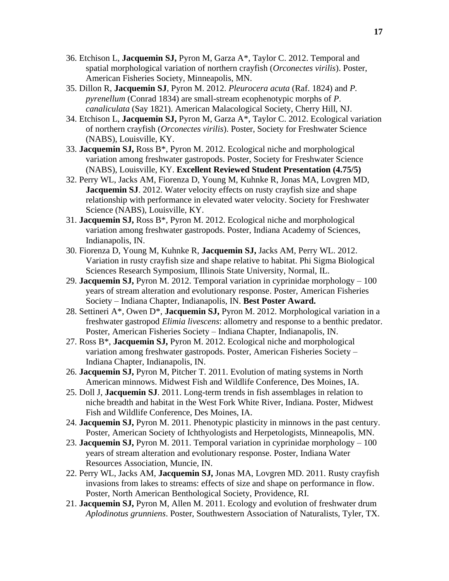- 36. Etchison L, **Jacquemin SJ,** Pyron M, Garza A\*, Taylor C. 2012. Temporal and spatial morphological variation of northern crayfish (*Orconectes virilis*). Poster, American Fisheries Society, Minneapolis, MN.
- 35. Dillon R, **Jacquemin SJ**, Pyron M. 2012. *Pleurocera acuta* (Raf. 1824) and *P. pyrenellum* (Conrad 1834) are small-stream ecophenotypic morphs of *P*. *canaliculata* (Say 1821). American Malacological Society, Cherry Hill, NJ.
- 34. Etchison L, **Jacquemin SJ,** Pyron M, Garza A\*, Taylor C. 2012. Ecological variation of northern crayfish (*Orconectes virilis*). Poster, Society for Freshwater Science (NABS), Louisville, KY.
- 33. **Jacquemin SJ,** Ross B\*, Pyron M. 2012. Ecological niche and morphological variation among freshwater gastropods. Poster, Society for Freshwater Science (NABS), Louisville, KY. **Excellent Reviewed Student Presentation (4.75/5)**
- 32. Perry WL, Jacks AM, Fiorenza D, Young M, Kuhnke R, Jonas MA, Lovgren MD, **Jacquemin SJ.** 2012. Water velocity effects on rusty crayfish size and shape relationship with performance in elevated water velocity. Society for Freshwater Science (NABS), Louisville, KY.
- 31. **Jacquemin SJ,** Ross B\*, Pyron M. 2012. Ecological niche and morphological variation among freshwater gastropods. Poster, Indiana Academy of Sciences, Indianapolis, IN.
- 30. Fiorenza D, Young M, Kuhnke R, **Jacquemin SJ,** Jacks AM, Perry WL. 2012. Variation in rusty crayfish size and shape relative to habitat. Phi Sigma Biological Sciences Research Symposium, Illinois State University, Normal, IL.
- 29. **Jacquemin SJ,** Pyron M. 2012. Temporal variation in cyprinidae morphology 100 years of stream alteration and evolutionary response. Poster, American Fisheries Society – Indiana Chapter, Indianapolis, IN. **Best Poster Award.**
- 28. Settineri A\*, Owen D\*, **Jacquemin SJ,** Pyron M. 2012. Morphological variation in a freshwater gastropod *Elimia livescens*: allometry and response to a benthic predator. Poster, American Fisheries Society – Indiana Chapter, Indianapolis, IN.
- 27. Ross B\*, **Jacquemin SJ,** Pyron M. 2012. Ecological niche and morphological variation among freshwater gastropods. Poster, American Fisheries Society – Indiana Chapter, Indianapolis, IN.
- 26. **Jacquemin SJ,** Pyron M, Pitcher T. 2011. Evolution of mating systems in North American minnows. Midwest Fish and Wildlife Conference, Des Moines, IA.
- 25. Doll J, **Jacquemin SJ**. 2011. Long-term trends in fish assemblages in relation to niche breadth and habitat in the West Fork White River, Indiana. Poster, Midwest Fish and Wildlife Conference, Des Moines, IA.
- 24. **Jacquemin SJ,** Pyron M. 2011. Phenotypic plasticity in minnows in the past century. Poster, American Society of Ichthyologists and Herpetologists, Minneapolis, MN.
- 23. **Jacquemin SJ,** Pyron M. 2011. Temporal variation in cyprinidae morphology 100 years of stream alteration and evolutionary response. Poster, Indiana Water Resources Association, Muncie, IN.
- 22. Perry WL, Jacks AM, **Jacquemin SJ,** Jonas MA, Lovgren MD. 2011. Rusty crayfish invasions from lakes to streams: effects of size and shape on performance in flow. Poster, North American Benthological Society, Providence, RI.
- 21. **Jacquemin SJ,** Pyron M, Allen M. 2011. Ecology and evolution of freshwater drum *Aplodinotus grunniens*. Poster, Southwestern Association of Naturalists, Tyler, TX.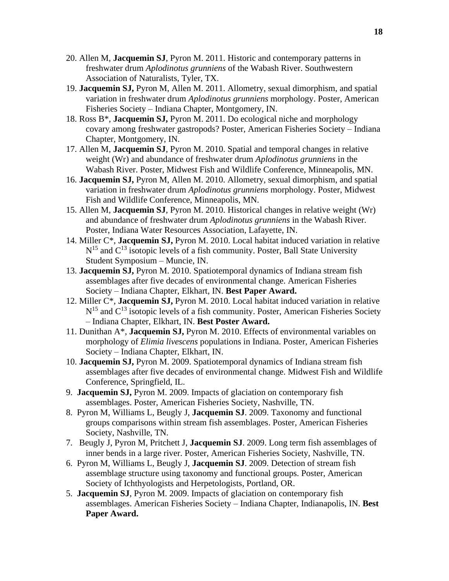- 20. Allen M, **Jacquemin SJ**, Pyron M. 2011. Historic and contemporary patterns in freshwater drum *Aplodinotus grunniens* of the Wabash River. Southwestern Association of Naturalists, Tyler, TX.
- 19. **Jacquemin SJ,** Pyron M, Allen M. 2011. Allometry, sexual dimorphism, and spatial variation in freshwater drum *Aplodinotus grunniens* morphology. Poster, American Fisheries Society – Indiana Chapter, Montgomery, IN.
- 18. Ross B\*, **Jacquemin SJ,** Pyron M. 2011. Do ecological niche and morphology covary among freshwater gastropods? Poster, American Fisheries Society – Indiana Chapter, Montgomery, IN.
- 17. Allen M, **Jacquemin SJ**, Pyron M. 2010. Spatial and temporal changes in relative weight (Wr) and abundance of freshwater drum *Aplodinotus grunniens* in the Wabash River. Poster, Midwest Fish and Wildlife Conference, Minneapolis, MN.
- 16. **Jacquemin SJ,** Pyron M, Allen M. 2010. Allometry, sexual dimorphism, and spatial variation in freshwater drum *Aplodinotus grunniens* morphology. Poster, Midwest Fish and Wildlife Conference, Minneapolis, MN.
- 15. Allen M, **Jacquemin SJ**, Pyron M. 2010. Historical changes in relative weight (Wr) and abundance of freshwater drum *Aplodinotus grunniens* in the Wabash River. Poster, Indiana Water Resources Association, Lafayette, IN.
- 14. Miller C\*, **Jacquemin SJ,** Pyron M. 2010. Local habitat induced variation in relative  $N^{15}$  and  $C^{13}$  isotopic levels of a fish community. Poster, Ball State University Student Symposium – Muncie, IN.
- 13. **Jacquemin SJ,** Pyron M. 2010. Spatiotemporal dynamics of Indiana stream fish assemblages after five decades of environmental change. American Fisheries Society – Indiana Chapter, Elkhart, IN. **Best Paper Award.**
- 12. Miller C\*, **Jacquemin SJ,** Pyron M. 2010. Local habitat induced variation in relative N<sup>15</sup> and C<sup>13</sup> isotopic levels of a fish community. Poster, American Fisheries Society – Indiana Chapter, Elkhart, IN. **Best Poster Award.**
- 11. Dunithan A\*, **Jacquemin SJ,** Pyron M. 2010. Effects of environmental variables on morphology of *Elimia livescens* populations in Indiana. Poster, American Fisheries Society – Indiana Chapter, Elkhart, IN.
- 10. **Jacquemin SJ,** Pyron M. 2009. Spatiotemporal dynamics of Indiana stream fish assemblages after five decades of environmental change. Midwest Fish and Wildlife Conference, Springfield, IL.
- 9. **Jacquemin SJ,** Pyron M. 2009. Impacts of glaciation on contemporary fish assemblages. Poster, American Fisheries Society, Nashville, TN.
- 8. Pyron M, Williams L, Beugly J, **Jacquemin SJ**. 2009. Taxonomy and functional groups comparisons within stream fish assemblages. Poster, American Fisheries Society, Nashville, TN.
- 7. Beugly J, Pyron M, Pritchett J, **Jacquemin SJ**. 2009. Long term fish assemblages of inner bends in a large river. Poster, American Fisheries Society, Nashville, TN.
- 6. Pyron M, Williams L, Beugly J, **Jacquemin SJ**. 2009. Detection of stream fish assemblage structure using taxonomy and functional groups. Poster, American Society of Ichthyologists and Herpetologists, Portland, OR.
- 5. **Jacquemin SJ**, Pyron M. 2009. Impacts of glaciation on contemporary fish assemblages. American Fisheries Society – Indiana Chapter, Indianapolis, IN. **Best Paper Award.**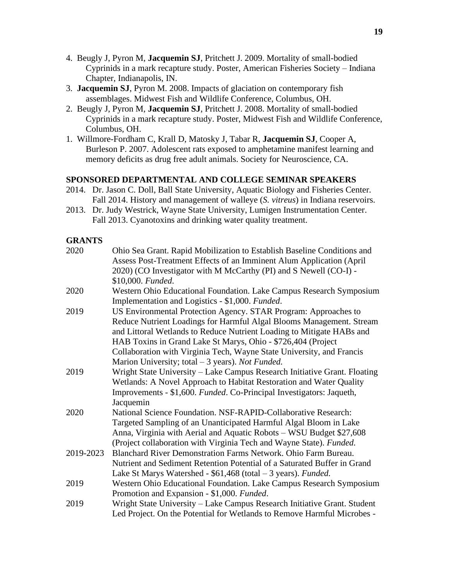- 4. Beugly J, Pyron M, **Jacquemin SJ**, Pritchett J. 2009. Mortality of small-bodied Cyprinids in a mark recapture study. Poster, American Fisheries Society – Indiana Chapter, Indianapolis, IN.
- 3. **Jacquemin SJ**, Pyron M. 2008. Impacts of glaciation on contemporary fish assemblages. Midwest Fish and Wildlife Conference, Columbus, OH.
- 2. Beugly J, Pyron M, **Jacquemin SJ**, Pritchett J. 2008. Mortality of small-bodied Cyprinids in a mark recapture study. Poster, Midwest Fish and Wildlife Conference, Columbus, OH.
- 1. Willmore-Fordham C, Krall D, Matosky J, Tabar R, **Jacquemin SJ**, Cooper A, Burleson P. 2007. Adolescent rats exposed to amphetamine manifest learning and memory deficits as drug free adult animals. Society for Neuroscience, CA.

# **SPONSORED DEPARTMENTAL AND COLLEGE SEMINAR SPEAKERS**

- 2014. Dr. Jason C. Doll, Ball State University, Aquatic Biology and Fisheries Center. Fall 2014. History and management of walleye (*S. vitreus*) in Indiana reservoirs.
- 2013. Dr. Judy Westrick, Wayne State University, Lumigen Instrumentation Center. Fall 2013. Cyanotoxins and drinking water quality treatment.

# **GRANTS**

| 2020      | Ohio Sea Grant. Rapid Mobilization to Establish Baseline Conditions and                                                |
|-----------|------------------------------------------------------------------------------------------------------------------------|
|           | Assess Post-Treatment Effects of an Imminent Alum Application (April                                                   |
|           | 2020) (CO Investigator with M McCarthy (PI) and S Newell (CO-I) -                                                      |
|           | \$10,000. Funded.                                                                                                      |
| 2020      | Western Ohio Educational Foundation. Lake Campus Research Symposium<br>Implementation and Logistics - \$1,000. Funded. |
| 2019      | US Environmental Protection Agency. STAR Program: Approaches to                                                        |
|           | Reduce Nutrient Loadings for Harmful Algal Blooms Management. Stream                                                   |
|           | and Littoral Wetlands to Reduce Nutrient Loading to Mitigate HABs and                                                  |
|           | HAB Toxins in Grand Lake St Marys, Ohio - \$726,404 (Project                                                           |
|           | Collaboration with Virginia Tech, Wayne State University, and Francis                                                  |
|           | Marion University; total - 3 years). Not Funded.                                                                       |
| 2019      | Wright State University – Lake Campus Research Initiative Grant. Floating                                              |
|           | Wetlands: A Novel Approach to Habitat Restoration and Water Quality                                                    |
|           | Improvements - \$1,600. Funded. Co-Principal Investigators: Jaqueth,                                                   |
|           | Jacquemin                                                                                                              |
| 2020      | National Science Foundation. NSF-RAPID-Collaborative Research:                                                         |
|           | Targeted Sampling of an Unanticipated Harmful Algal Bloom in Lake                                                      |
|           | Anna, Virginia with Aerial and Aquatic Robots - WSU Budget \$27,608                                                    |
|           | (Project collaboration with Virginia Tech and Wayne State). Funded.                                                    |
| 2019-2023 | Blanchard River Demonstration Farms Network. Ohio Farm Bureau.                                                         |
|           | Nutrient and Sediment Retention Potential of a Saturated Buffer in Grand                                               |
|           | Lake St Marys Watershed - $$61,468$ (total $-3$ years). Funded.                                                        |
| 2019      | Western Ohio Educational Foundation. Lake Campus Research Symposium                                                    |
|           | Promotion and Expansion - \$1,000. Funded.                                                                             |
| 2019      | Wright State University - Lake Campus Research Initiative Grant. Student                                               |
|           | Led Project. On the Potential for Wetlands to Remove Harmful Microbes -                                                |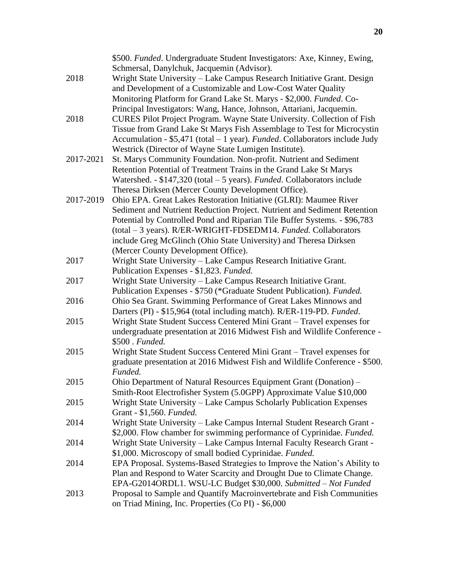|           | \$500. Funded. Undergraduate Student Investigators: Axe, Kinney, Ewing,     |
|-----------|-----------------------------------------------------------------------------|
|           | Schmersal, Danylchuk, Jacquemin (Advisor).                                  |
| 2018      | Wright State University - Lake Campus Research Initiative Grant. Design     |
|           | and Development of a Customizable and Low-Cost Water Quality                |
|           | Monitoring Platform for Grand Lake St. Marys - \$2,000. Funded. Co-         |
|           | Principal Investigators: Wang, Hance, Johnson, Attariani, Jacquemin.        |
| 2018      | CURES Pilot Project Program. Wayne State University. Collection of Fish     |
|           | Tissue from Grand Lake St Marys Fish Assemblage to Test for Microcystin     |
|           | Accumulation - \$5,471 (total - 1 year). Funded. Collaborators include Judy |
|           | Westrick (Director of Wayne State Lumigen Institute).                       |
| 2017-2021 | St. Marys Community Foundation. Non-profit. Nutrient and Sediment           |
|           | Retention Potential of Treatment Trains in the Grand Lake St Marys          |
|           | Watershed. - \$147,320 (total - 5 years). Funded. Collaborators include     |
|           | Theresa Dirksen (Mercer County Development Office).                         |
| 2017-2019 | Ohio EPA. Great Lakes Restoration Initiative (GLRI): Maumee River           |
|           | Sediment and Nutrient Reduction Project. Nutrient and Sediment Retention    |
|           | Potential by Controlled Pond and Riparian Tile Buffer Systems. - \$96,783   |
|           | (total - 3 years). R/ER-WRIGHT-FDSEDM14. Funded. Collaborators              |
|           | include Greg McGlinch (Ohio State University) and Theresa Dirksen           |
|           | (Mercer County Development Office).                                         |
| 2017      | Wright State University - Lake Campus Research Initiative Grant.            |
|           | Publication Expenses - \$1,823. Funded.                                     |
| 2017      | Wright State University - Lake Campus Research Initiative Grant.            |
|           | Publication Expenses - \$750 (*Graduate Student Publication). Funded.       |
| 2016      | Ohio Sea Grant. Swimming Performance of Great Lakes Minnows and             |
|           | Darters (PI) - \$15,964 (total including match). R/ER-119-PD. Funded.       |
| 2015      | Wright State Student Success Centered Mini Grant - Travel expenses for      |
|           | undergraduate presentation at 2016 Midwest Fish and Wildlife Conference -   |
|           | \$500 . Funded.                                                             |
| 2015      | Wright State Student Success Centered Mini Grant - Travel expenses for      |
|           | graduate presentation at 2016 Midwest Fish and Wildlife Conference - \$500. |
|           | Funded.                                                                     |
| 2015      | Ohio Department of Natural Resources Equipment Grant (Donation) –           |
|           | Smith-Root Electrofisher System (5.0GPP) Approximate Value \$10,000         |
| 2015      | Wright State University – Lake Campus Scholarly Publication Expenses        |
|           | Grant - \$1,560. Funded.                                                    |
| 2014      | Wright State University - Lake Campus Internal Student Research Grant -     |
|           | \$2,000. Flow chamber for swimming performance of Cyprinidae. Funded.       |
| 2014      | Wright State University - Lake Campus Internal Faculty Research Grant -     |
|           | \$1,000. Microscopy of small bodied Cyprinidae. Funded.                     |
| 2014      | EPA Proposal. Systems-Based Strategies to Improve the Nation's Ability to   |
|           | Plan and Respond to Water Scarcity and Drought Due to Climate Change.       |
|           | EPA-G2014ORDL1. WSU-LC Budget \$30,000. Submitted - Not Funded              |
| 2013      | Proposal to Sample and Quantify Macroinvertebrate and Fish Communities      |
|           | on Triad Mining, Inc. Properties (Co PI) - \$6,000                          |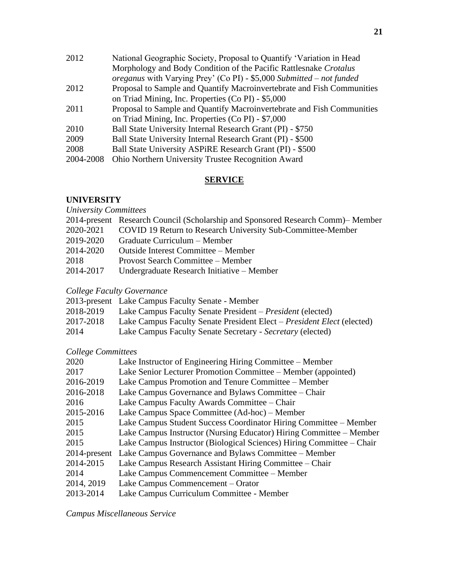| 2012      | National Geographic Society, Proposal to Quantify 'Variation in Head   |
|-----------|------------------------------------------------------------------------|
|           | Morphology and Body Condition of the Pacific Rattlesnake Crotalus      |
|           | oreganus with Varying Prey' (Co PI) - \$5,000 Submitted - not funded   |
| 2012      | Proposal to Sample and Quantify Macroinvertebrate and Fish Communities |
|           | on Triad Mining, Inc. Properties (Co PI) - \$5,000                     |
| 2011      | Proposal to Sample and Quantify Macroinvertebrate and Fish Communities |
|           | on Triad Mining, Inc. Properties (Co PI) - \$7,000                     |
| 2010      | Ball State University Internal Research Grant (PI) - \$750             |
| 2009      | Ball State University Internal Research Grant (PI) - \$500             |
| 2008      | Ball State University ASPIRE Research Grant (PI) - \$500               |
| 2004-2008 | Ohio Northern University Trustee Recognition Award                     |
|           |                                                                        |

### **SERVICE**

#### **UNIVERSITY**

*University Committees*

- 2014-present Research Council (Scholarship and Sponsored Research Comm)– Member
- 2020-2021 COVID 19 Return to Research University Sub-Committee-Member
- 2019-2020 Graduate Curriculum Member
- 2014-2020 Outside Interest Committee Member
- 2018 Provost Search Committee Member
- 2014-2017 Undergraduate Research Initiative Member
- *College Faculty Governance*

| 2013-present Lake Campus Faculty Senate - Member |  |  |  |  |  |  |
|--------------------------------------------------|--|--|--|--|--|--|
| 2010.2010                                        |  |  |  |  |  |  |

- 2018-2019 Lake Campus Faculty Senate President *President* (elected)
- 2017-2018 Lake Campus Faculty Senate President Elect *President Elect* (elected)
- 2014 Lake Campus Faculty Senate Secretary *Secretary* (elected)

## *College Committees*

| 2020       | Lake Instructor of Engineering Hiring Committee – Member              |
|------------|-----------------------------------------------------------------------|
| 2017       | Lake Senior Lecturer Promotion Committee – Member (appointed)         |
| 2016-2019  | Lake Campus Promotion and Tenure Committee – Member                   |
| 2016-2018  | Lake Campus Governance and Bylaws Committee – Chair                   |
| 2016       | Lake Campus Faculty Awards Committee - Chair                          |
| 2015-2016  | Lake Campus Space Committee (Ad-hoc) – Member                         |
| 2015       | Lake Campus Student Success Coordinator Hiring Committee – Member     |
| 2015       | Lake Campus Instructor (Nursing Educator) Hiring Committee – Member   |
| 2015       | Lake Campus Instructor (Biological Sciences) Hiring Committee - Chair |
|            | 2014-present Lake Campus Governance and Bylaws Committee – Member     |
| 2014-2015  | Lake Campus Research Assistant Hiring Committee – Chair               |
| 2014       | Lake Campus Commencement Committee – Member                           |
| 2014, 2019 | Lake Campus Commencement – Orator                                     |
| 2013-2014  | Lake Campus Curriculum Committee - Member                             |

*Campus Miscellaneous Service*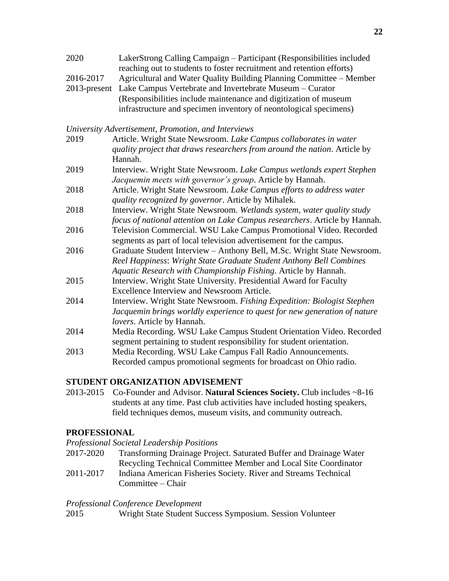2020 LakerStrong Calling Campaign – Participant (Responsibilities included reaching out to students to foster recruitment and retention efforts) 2016-2017 Agricultural and Water Quality Building Planning Committee – Member 2013-present Lake Campus Vertebrate and Invertebrate Museum – Curator (Responsibilities include maintenance and digitization of museum infrastructure and specimen inventory of neontological specimens)

#### *University Advertisement, Promotion, and Interviews*

- 2019 Article. Wright State Newsroom. *Lake Campus collaborates in water quality project that draws researchers from around the nation*. Article by Hannah.
- 2019 Interview. Wright State Newsroom. *Lake Campus wetlands expert Stephen Jacquemin meets with governor's group*. Article by Hannah.
- 2018 Article. Wright State Newsroom. *Lake Campus efforts to address water quality recognized by governor*. Article by Mihalek.
- 2018 Interview. Wright State Newsroom. *Wetlands system, water quality study focus of national attention on Lake Campus researchers*. Article by Hannah.
- 2016 Television Commercial. WSU Lake Campus Promotional Video. Recorded segments as part of local television advertisement for the campus.
- 2016 Graduate Student Interview Anthony Bell, M.Sc. Wright State Newsroom. *Reel Happiness*: *Wright State Graduate Student Anthony Bell Combines Aquatic Research with Championship Fishing*. Article by Hannah.
- 2015 Interview. Wright State University. Presidential Award for Faculty Excellence Interview and Newsroom Article.
- 2014 Interview. Wright State Newsroom. *Fishing Expedition: Biologist Stephen Jacquemin brings worldly experience to quest for new generation of nature lovers*. Article by Hannah.
- 2014 Media Recording. WSU Lake Campus Student Orientation Video. Recorded segment pertaining to student responsibility for student orientation.
- 2013 Media Recording. WSU Lake Campus Fall Radio Announcements. Recorded campus promotional segments for broadcast on Ohio radio.

# **STUDENT ORGANIZATION ADVISEMENT**

2013-2015 Co-Founder and Advisor. **Natural Sciences Society.** Club includes ~8-16 students at any time. Past club activities have included hosting speakers, field techniques demos, museum visits, and community outreach.

# **PROFESSIONAL**

*Professional Societal Leadership Positions*

- 2017-2020 Transforming Drainage Project. Saturated Buffer and Drainage Water Recycling Technical Committee Member and Local Site Coordinator
- 2011-2017 Indiana American Fisheries Society. River and Streams Technical Committee – Chair

#### *Professional Conference Development*

2015 Wright State Student Success Symposium. Session Volunteer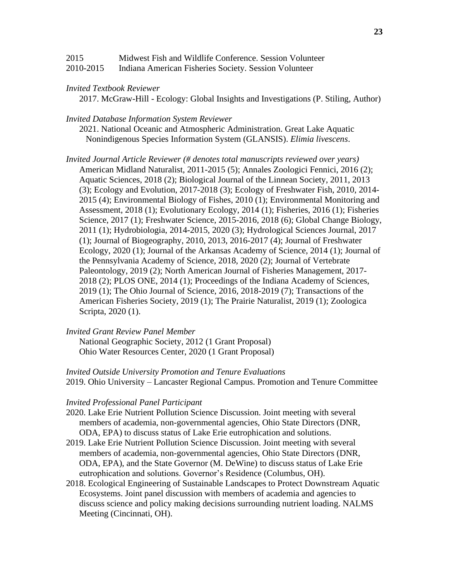- 2015 Midwest Fish and Wildlife Conference. Session Volunteer
- 2010-2015 Indiana American Fisheries Society. Session Volunteer

#### *Invited Textbook Reviewer*

2017. McGraw-Hill - Ecology: Global Insights and Investigations (P. Stiling, Author)

*Invited Database Information System Reviewer* 

2021. National Oceanic and Atmospheric Administration. Great Lake Aquatic Nonindigenous Species Information System (GLANSIS). *Elimia livescens*.

*Invited Journal Article Reviewer (# denotes total manuscripts reviewed over years)* American Midland Naturalist, 2011-2015 (5); Annales Zoologici Fennici, 2016 (2); Aquatic Sciences, 2018 (2); Biological Journal of the Linnean Society, 2011, 2013 (3); Ecology and Evolution, 2017-2018 (3); Ecology of Freshwater Fish, 2010, 2014- 2015 (4); Environmental Biology of Fishes, 2010 (1); Environmental Monitoring and Assessment, 2018 (1); Evolutionary Ecology, 2014 (1); Fisheries, 2016 (1); Fisheries Science, 2017 (1); Freshwater Science, 2015-2016, 2018 (6); Global Change Biology, 2011 (1); Hydrobiologia, 2014-2015, 2020 (3); Hydrological Sciences Journal, 2017 (1); Journal of Biogeography, 2010, 2013, 2016-2017 (4); Journal of Freshwater Ecology, 2020 (1); Journal of the Arkansas Academy of Science, 2014 (1); Journal of the Pennsylvania Academy of Science, 2018, 2020 (2); Journal of Vertebrate Paleontology, 2019 (2); North American Journal of Fisheries Management, 2017- 2018 (2); PLOS ONE, 2014 (1); Proceedings of the Indiana Academy of Sciences, 2019 (1); The Ohio Journal of Science, 2016, 2018-2019 (7); Transactions of the American Fisheries Society, 2019 (1); The Prairie Naturalist, 2019 (1); Zoologica Scripta, 2020 (1).

#### *Invited Grant Review Panel Member*

National Geographic Society, 2012 (1 Grant Proposal) Ohio Water Resources Center, 2020 (1 Grant Proposal)

*Invited Outside University Promotion and Tenure Evaluations* 2019. Ohio University – Lancaster Regional Campus. Promotion and Tenure Committee

#### *Invited Professional Panel Participant*

- 2020. Lake Erie Nutrient Pollution Science Discussion. Joint meeting with several members of academia, non-governmental agencies, Ohio State Directors (DNR, ODA, EPA) to discuss status of Lake Erie eutrophication and solutions.
- 2019. Lake Erie Nutrient Pollution Science Discussion. Joint meeting with several members of academia, non-governmental agencies, Ohio State Directors (DNR, ODA, EPA), and the State Governor (M. DeWine) to discuss status of Lake Erie eutrophication and solutions. Governor's Residence (Columbus, OH).
- 2018. Ecological Engineering of Sustainable Landscapes to Protect Downstream Aquatic Ecosystems. Joint panel discussion with members of academia and agencies to discuss science and policy making decisions surrounding nutrient loading. NALMS Meeting (Cincinnati, OH).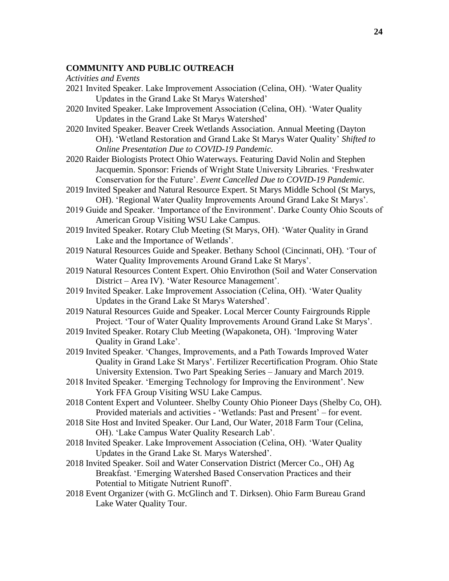#### **COMMUNITY AND PUBLIC OUTREACH**

*Activities and Events*

- 2021 Invited Speaker. Lake Improvement Association (Celina, OH). 'Water Quality Updates in the Grand Lake St Marys Watershed'
- 2020 Invited Speaker. Lake Improvement Association (Celina, OH). 'Water Quality Updates in the Grand Lake St Marys Watershed'
- 2020 Invited Speaker. Beaver Creek Wetlands Association. Annual Meeting (Dayton OH). 'Wetland Restoration and Grand Lake St Marys Water Quality' *Shifted to Online Presentation Due to COVID-19 Pandemic.*
- 2020 Raider Biologists Protect Ohio Waterways. Featuring David Nolin and Stephen Jacquemin. Sponsor: Friends of Wright State University Libraries. 'Freshwater Conservation for the Future'. *Event Cancelled Due to COVID-19 Pandemic.*
- 2019 Invited Speaker and Natural Resource Expert. St Marys Middle School (St Marys, OH). 'Regional Water Quality Improvements Around Grand Lake St Marys'.
- 2019 Guide and Speaker. 'Importance of the Environment'. Darke County Ohio Scouts of American Group Visiting WSU Lake Campus.
- 2019 Invited Speaker. Rotary Club Meeting (St Marys, OH). 'Water Quality in Grand Lake and the Importance of Wetlands'.
- 2019 Natural Resources Guide and Speaker. Bethany School (Cincinnati, OH). 'Tour of Water Quality Improvements Around Grand Lake St Marys'.
- 2019 Natural Resources Content Expert. Ohio Envirothon (Soil and Water Conservation District – Area IV). 'Water Resource Management'.
- 2019 Invited Speaker. Lake Improvement Association (Celina, OH). 'Water Quality Updates in the Grand Lake St Marys Watershed'.
- 2019 Natural Resources Guide and Speaker. Local Mercer County Fairgrounds Ripple Project. 'Tour of Water Quality Improvements Around Grand Lake St Marys'.
- 2019 Invited Speaker. Rotary Club Meeting (Wapakoneta, OH). 'Improving Water Quality in Grand Lake'.
- 2019 Invited Speaker. 'Changes, Improvements, and a Path Towards Improved Water Quality in Grand Lake St Marys'. Fertilizer Recertification Program. Ohio State University Extension. Two Part Speaking Series – January and March 2019.
- 2018 Invited Speaker. 'Emerging Technology for Improving the Environment'. New York FFA Group Visiting WSU Lake Campus.
- 2018 Content Expert and Volunteer. Shelby County Ohio Pioneer Days (Shelby Co, OH). Provided materials and activities - 'Wetlands: Past and Present' – for event.
- 2018 Site Host and Invited Speaker. Our Land, Our Water, 2018 Farm Tour (Celina, OH). 'Lake Campus Water Quality Research Lab'.
- 2018 Invited Speaker. Lake Improvement Association (Celina, OH). 'Water Quality Updates in the Grand Lake St. Marys Watershed'.
- 2018 Invited Speaker. Soil and Water Conservation District (Mercer Co., OH) Ag Breakfast. 'Emerging Watershed Based Conservation Practices and their Potential to Mitigate Nutrient Runoff'.
- 2018 Event Organizer (with G. McGlinch and T. Dirksen). Ohio Farm Bureau Grand Lake Water Quality Tour.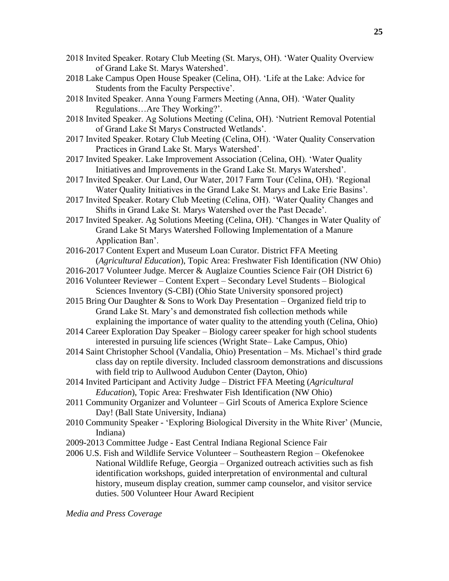- 2018 Invited Speaker. Rotary Club Meeting (St. Marys, OH). 'Water Quality Overview of Grand Lake St. Marys Watershed'.
- 2018 Lake Campus Open House Speaker (Celina, OH). 'Life at the Lake: Advice for Students from the Faculty Perspective'.
- 2018 Invited Speaker. Anna Young Farmers Meeting (Anna, OH). 'Water Quality Regulations…Are They Working?'.
- 2018 Invited Speaker. Ag Solutions Meeting (Celina, OH). 'Nutrient Removal Potential of Grand Lake St Marys Constructed Wetlands'.
- 2017 Invited Speaker. Rotary Club Meeting (Celina, OH). 'Water Quality Conservation Practices in Grand Lake St. Marys Watershed'.
- 2017 Invited Speaker. Lake Improvement Association (Celina, OH). 'Water Quality Initiatives and Improvements in the Grand Lake St. Marys Watershed'.
- 2017 Invited Speaker. Our Land, Our Water, 2017 Farm Tour (Celina, OH). 'Regional Water Quality Initiatives in the Grand Lake St. Marys and Lake Erie Basins'.
- 2017 Invited Speaker. Rotary Club Meeting (Celina, OH). 'Water Quality Changes and Shifts in Grand Lake St. Marys Watershed over the Past Decade'.
- 2017 Invited Speaker. Ag Solutions Meeting (Celina, OH). 'Changes in Water Quality of Grand Lake St Marys Watershed Following Implementation of a Manure Application Ban'.
- 2016-2017 Content Expert and Museum Loan Curator. District FFA Meeting (*Agricultural Education*), Topic Area: Freshwater Fish Identification (NW Ohio)
- 2016-2017 Volunteer Judge. Mercer & Auglaize Counties Science Fair (OH District 6)
- 2016 Volunteer Reviewer Content Expert Secondary Level Students Biological Sciences Inventory (S-CBI) (Ohio State University sponsored project)
- 2015 Bring Our Daughter & Sons to Work Day Presentation Organized field trip to Grand Lake St. Mary's and demonstrated fish collection methods while explaining the importance of water quality to the attending youth (Celina, Ohio)
- 2014 Career Exploration Day Speaker Biology career speaker for high school students interested in pursuing life sciences (Wright State– Lake Campus, Ohio)
- 2014 Saint Christopher School (Vandalia, Ohio) Presentation Ms. Michael's third grade class day on reptile diversity. Included classroom demonstrations and discussions with field trip to Aullwood Audubon Center (Dayton, Ohio)
- 2014 Invited Participant and Activity Judge District FFA Meeting (*Agricultural Education*), Topic Area: Freshwater Fish Identification (NW Ohio)
- 2011 Community Organizer and Volunteer Girl Scouts of America Explore Science Day! (Ball State University, Indiana)
- 2010 Community Speaker 'Exploring Biological Diversity in the White River' (Muncie, Indiana)
- 2009-2013 Committee Judge East Central Indiana Regional Science Fair
- 2006 U.S. Fish and Wildlife Service Volunteer Southeastern Region Okefenokee National Wildlife Refuge, Georgia – Organized outreach activities such as fish identification workshops, guided interpretation of environmental and cultural history, museum display creation, summer camp counselor, and visitor service duties. 500 Volunteer Hour Award Recipient

*Media and Press Coverage*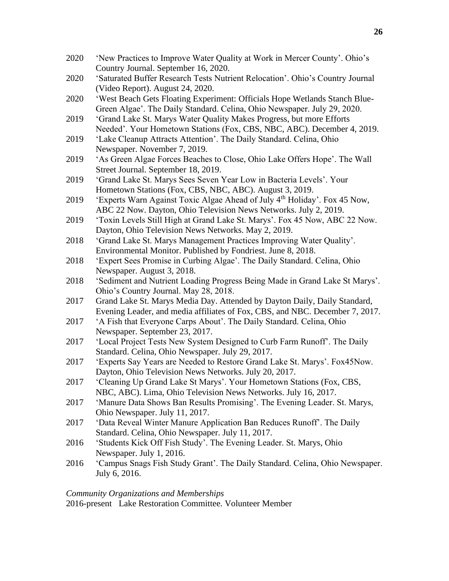- 2020 'New Practices to Improve Water Quality at Work in Mercer County'. Ohio's Country Journal. September 16, 2020.
- 2020 'Saturated Buffer Research Tests Nutrient Relocation'. Ohio's Country Journal (Video Report). August 24, 2020.
- 2020 'West Beach Gets Floating Experiment: Officials Hope Wetlands Stanch Blue-Green Algae'. The Daily Standard. Celina, Ohio Newspaper. July 29, 2020.
- 2019 'Grand Lake St. Marys Water Quality Makes Progress, but more Efforts Needed'. Your Hometown Stations (Fox, CBS, NBC, ABC). December 4, 2019.
- 2019 'Lake Cleanup Attracts Attention'. The Daily Standard. Celina, Ohio Newspaper. November 7, 2019.
- 2019 'As Green Algae Forces Beaches to Close, Ohio Lake Offers Hope'. The Wall Street Journal. September 18, 2019.
- 2019 'Grand Lake St. Marys Sees Seven Year Low in Bacteria Levels'. Your Hometown Stations (Fox, CBS, NBC, ABC). August 3, 2019.
- 2019 'Experts Warn Against Toxic Algae Ahead of July  $4<sup>th</sup>$  Holiday'. Fox 45 Now, ABC 22 Now. Dayton, Ohio Television News Networks. July 2, 2019.
- 2019 'Toxin Levels Still High at Grand Lake St. Marys'. Fox 45 Now, ABC 22 Now. Dayton, Ohio Television News Networks. May 2, 2019.
- 2018 'Grand Lake St. Marys Management Practices Improving Water Quality'. Environmental Monitor. Published by Fondriest. June 8, 2018.
- 2018 'Expert Sees Promise in Curbing Algae'. The Daily Standard. Celina, Ohio Newspaper. August 3, 2018.
- 2018 'Sediment and Nutrient Loading Progress Being Made in Grand Lake St Marys'. Ohio's Country Journal. May 28, 2018.
- 2017 Grand Lake St. Marys Media Day. Attended by Dayton Daily, Daily Standard, Evening Leader, and media affiliates of Fox, CBS, and NBC. December 7, 2017.
- 2017 'A Fish that Everyone Carps About'. The Daily Standard. Celina, Ohio Newspaper. September 23, 2017.
- 2017 'Local Project Tests New System Designed to Curb Farm Runoff'. The Daily Standard. Celina, Ohio Newspaper. July 29, 2017.
- 2017 'Experts Say Years are Needed to Restore Grand Lake St. Marys'. Fox45Now. Dayton, Ohio Television News Networks. July 20, 2017.
- 2017 'Cleaning Up Grand Lake St Marys'. Your Hometown Stations (Fox, CBS, NBC, ABC). Lima, Ohio Television News Networks. July 16, 2017.
- 2017 'Manure Data Shows Ban Results Promising'. The Evening Leader. St. Marys, Ohio Newspaper. July 11, 2017.
- 2017 'Data Reveal Winter Manure Application Ban Reduces Runoff'. The Daily Standard. Celina, Ohio Newspaper. July 11, 2017.
- 2016 'Students Kick Off Fish Study'. The Evening Leader. St. Marys, Ohio Newspaper. July 1, 2016.
- 2016 'Campus Snags Fish Study Grant'. The Daily Standard. Celina, Ohio Newspaper. July 6, 2016.

# *Community Organizations and Memberships*

2016-present Lake Restoration Committee. Volunteer Member